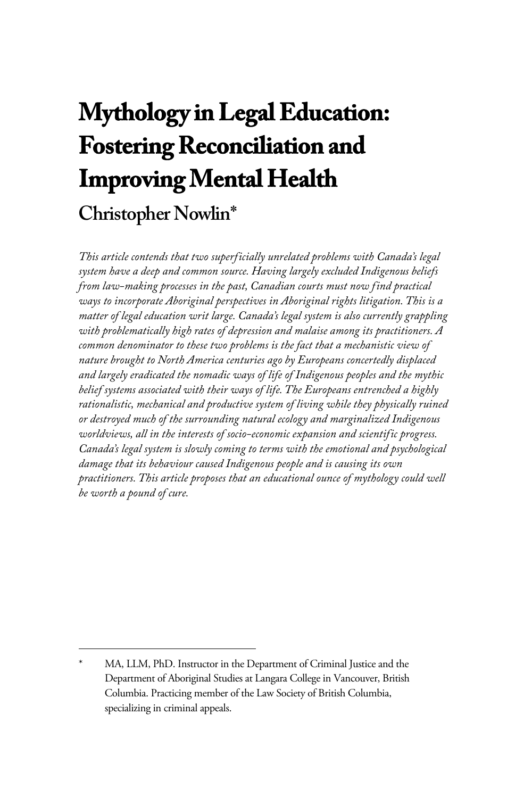# **Mythology in Legal Education: Fostering Reconciliation and Improving Mental Health Christopher Nowlin\***

*This article contends that two superficially unrelated problems with Canada's legal system have a deep and common source. Having largely excluded Indigenous beliefs from law-making processes in the past, Canadian courts must now find practical ways to incorporate Aboriginal perspectives in Aboriginal rights litigation. This is a matter of legal education writ large. Canada's legal system is also currently grappling with problematically high rates of depression and malaise among its practitioners. A common denominator to these two problems is the fact that a mechanistic view of nature brought to North America centuries ago by Europeans concertedly displaced and largely eradicated the nomadic ways of life of Indigenous peoples and the mythic belief systems associated with their ways of life. The Europeans entrenched a highly rationalistic, mechanical and productive system of living while they physically ruined or destroyed much of the surrounding natural ecology and marginalized Indigenous worldviews, all in the interests of socio-economic expansion and scientific progress. Canada's legal system is slowly coming to terms with the emotional and psychological damage that its behaviour caused Indigenous people and is causing its own practitioners. This article proposes that an educational ounce of mythology could well be worth a pound of cure.*

MA, LLM, PhD. Instructor in the Department of Criminal Justice and the Department of Aboriginal Studies at Langara College in Vancouver, British Columbia. Practicing member of the Law Society of British Columbia, specializing in criminal appeals.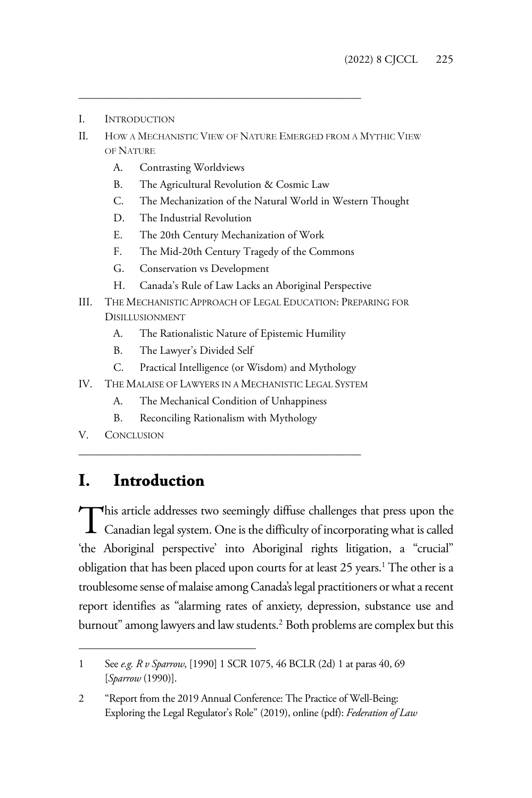- I. INTRODUCTION
- II. HOW A MECHANISTIC VIEW OF NATURE EMERGED FROM A MYTHIC VIEW OF NATURE
	- A. Contrasting Worldviews
	- B. The Agricultural Revolution & Cosmic Law

\_\_\_\_\_\_\_\_\_\_\_\_\_\_\_\_\_\_\_\_\_\_\_\_\_\_\_\_\_\_\_\_\_\_\_\_\_\_\_\_\_\_\_\_\_\_\_\_\_\_\_

- C. The Mechanization of the Natural World in Western Thought
- D. The Industrial Revolution
- E. The 20th Century Mechanization of Work
- F. The Mid-20th Century Tragedy of the Commons
- G. Conservation vs Development
- H. Canada's Rule of Law Lacks an Aboriginal Perspective
- III. THE MECHANISTIC APPROACH OF LEGAL EDUCATION: PREPARING FOR DISILLUSIONMENT
	- A. The Rationalistic Nature of Epistemic Humility
	- B. The Lawyer's Divided Self
	- C. Practical Intelligence (or Wisdom) and Mythology
- IV. THE MALAISE OF LAWYERS IN A MECHANISTIC LEGAL SYSTEM
	- A. The Mechanical Condition of Unhappiness

\_\_\_\_\_\_\_\_\_\_\_\_\_\_\_\_\_\_\_\_\_\_\_\_\_\_\_\_\_\_\_\_\_\_\_\_\_\_\_\_\_\_\_\_\_\_\_\_\_\_\_

- B. Reconciling Rationalism with Mythology
- V. CONCLUSION

### **I. Introduction**

This article addresses two seemingly diffuse challenges that press upon the This article addresses two seemingly diffuse challenges that press upon the Canadian legal system. One is the difficulty of incorporating what is called 'the Aboriginal perspective' into Aboriginal rights litigation, a "crucial" obligation that has been placed upon courts for at least 25 years.<sup>1</sup> The other is a troublesome sense of malaise among Canada's legal practitioners or what a recent report identifies as "alarming rates of anxiety, depression, substance use and burnout" among lawyers and law students.2 Both problems are complex but this

<sup>1</sup> See *e.g. R v Sparrow*, [1990] 1 SCR 1075, 46 BCLR (2d) 1 at paras 40, 69 [*Sparrow* (1990)].

<sup>2 &</sup>quot;Report from the 2019 Annual Conference: The Practice of Well-Being: Exploring the Legal Regulator's Role" (2019), online (pdf): *Federation of Law*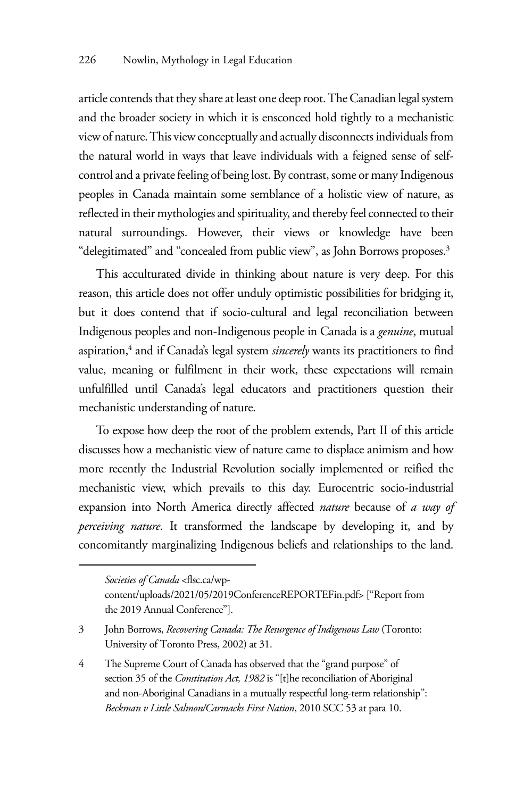article contends that they share at least one deep root. The Canadian legal system and the broader society in which it is ensconced hold tightly to a mechanistic view of nature. This view conceptually and actually disconnects individuals from the natural world in ways that leave individuals with a feigned sense of selfcontrol and a private feeling of being lost. By contrast, some or many Indigenous peoples in Canada maintain some semblance of a holistic view of nature, as reflected in their mythologies and spirituality, and thereby feel connected to their natural surroundings. However, their views or knowledge have been "delegitimated" and "concealed from public view", as John Borrows proposes.3

This acculturated divide in thinking about nature is very deep. For this reason, this article does not offer unduly optimistic possibilities for bridging it, but it does contend that if socio-cultural and legal reconciliation between Indigenous peoples and non-Indigenous people in Canada is a *genuine*, mutual aspiration,<sup>4</sup> and if Canada's legal system *sincerely* wants its practitioners to find value, meaning or fulfilment in their work, these expectations will remain unfulfilled until Canada's legal educators and practitioners question their mechanistic understanding of nature.

To expose how deep the root of the problem extends, Part II of this article discusses how a mechanistic view of nature came to displace animism and how more recently the Industrial Revolution socially implemented or reified the mechanistic view, which prevails to this day. Eurocentric socio-industrial expansion into North America directly affected *nature* because of *a way of perceiving nature*. It transformed the landscape by developing it, and by concomitantly marginalizing Indigenous beliefs and relationships to the land.

*Societies of Canada* <flsc.ca/wp-

content/uploads/2021/05/2019ConferenceREPORTEFin.pdf> ["Report from the 2019 Annual Conference"].

<sup>3</sup> John Borrows, *Recovering Canada: The Resurgence of Indigenous Law* (Toronto: University of Toronto Press, 2002) at 31.

<sup>4</sup> The Supreme Court of Canada has observed that the "grand purpose" of section 35 of the *Constitution Act, 1982* is "[t]he reconciliation of Aboriginal and non-Aboriginal Canadians in a mutually respectful long-term relationship": *Beckman v Little Salmon/Carmacks First Nation*, 2010 SCC 53 at para 10.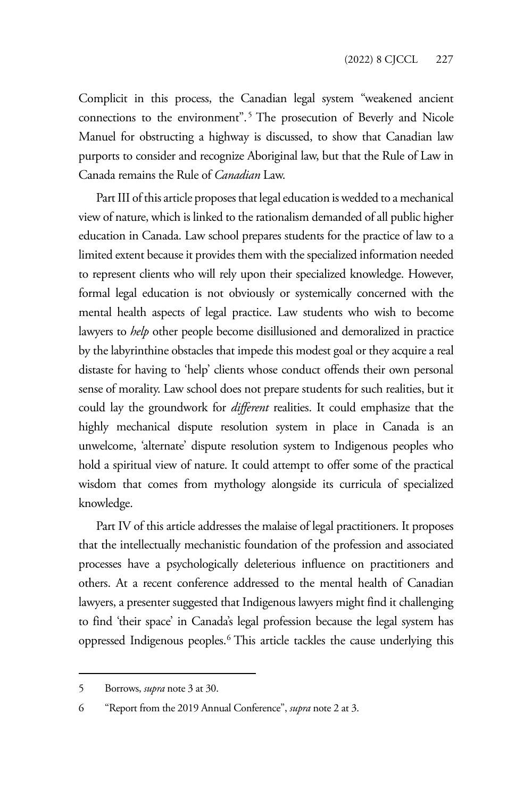Complicit in this process, the Canadian legal system "weakened ancient connections to the environment".<sup>5</sup> The prosecution of Beverly and Nicole Manuel for obstructing a highway is discussed, to show that Canadian law purports to consider and recognize Aboriginal law, but that the Rule of Law in Canada remains the Rule of *Canadian* Law.

Part III of this article proposes that legal education is wedded to a mechanical view of nature, which is linked to the rationalism demanded of all public higher education in Canada. Law school prepares students for the practice of law to a limited extent because it provides them with the specialized information needed to represent clients who will rely upon their specialized knowledge. However, formal legal education is not obviously or systemically concerned with the mental health aspects of legal practice. Law students who wish to become lawyers to *help* other people become disillusioned and demoralized in practice by the labyrinthine obstacles that impede this modest goal or they acquire a real distaste for having to 'help' clients whose conduct offends their own personal sense of morality. Law school does not prepare students for such realities, but it could lay the groundwork for *different* realities. It could emphasize that the highly mechanical dispute resolution system in place in Canada is an unwelcome, 'alternate' dispute resolution system to Indigenous peoples who hold a spiritual view of nature. It could attempt to offer some of the practical wisdom that comes from mythology alongside its curricula of specialized knowledge.

Part IV of this article addresses the malaise of legal practitioners. It proposes that the intellectually mechanistic foundation of the profession and associated processes have a psychologically deleterious influence on practitioners and others. At a recent conference addressed to the mental health of Canadian lawyers, a presenter suggested that Indigenous lawyers might find it challenging to find 'their space' in Canada's legal profession because the legal system has oppressed Indigenous peoples.<sup>6</sup> This article tackles the cause underlying this

<sup>5</sup> Borrows, *supra* note 3 at 30.

<sup>6 &</sup>quot;Report from the 2019 Annual Conference", *supra* note 2 at 3.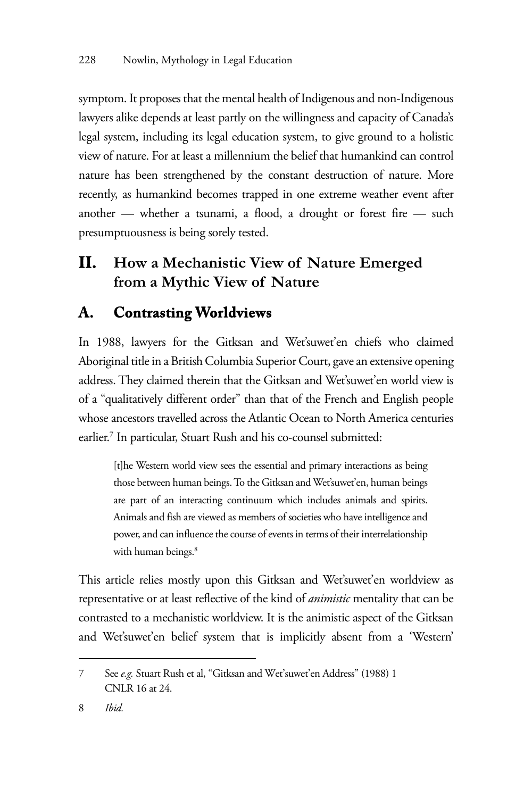symptom. It proposes that the mental health of Indigenous and non-Indigenous lawyers alike depends at least partly on the willingness and capacity of Canada's legal system, including its legal education system, to give ground to a holistic view of nature. For at least a millennium the belief that humankind can control nature has been strengthened by the constant destruction of nature. More recently, as humankind becomes trapped in one extreme weather event after another — whether a tsunami, a flood, a drought or forest fire — such presumptuousness is being sorely tested.

## **II. How a Mechanistic View of Nature Emerged from a Mythic View of Nature**

## **A. Contrasting Worldviews**

In 1988, lawyers for the Gitksan and Wet'suwet'en chiefs who claimed Aboriginal title in a British Columbia Superior Court, gave an extensive opening address. They claimed therein that the Gitksan and Wet'suwet'en world view is of a "qualitatively different order" than that of the French and English people whose ancestors travelled across the Atlantic Ocean to North America centuries earlier.7 In particular, Stuart Rush and his co-counsel submitted:

[t]he Western world view sees the essential and primary interactions as being those between human beings. To the Gitksan and Wet'suwet'en, human beings are part of an interacting continuum which includes animals and spirits. Animals and fish are viewed as members of societies who have intelligence and power, and can influence the course of events in terms of their interrelationship with human beings.<sup>8</sup>

This article relies mostly upon this Gitksan and Wet'suwet'en worldview as representative or at least reflective of the kind of *animistic* mentality that can be contrasted to a mechanistic worldview. It is the animistic aspect of the Gitksan and Wet'suwet'en belief system that is implicitly absent from a 'Western'

<sup>7</sup> See *e.g.* Stuart Rush et al, "Gitksan and Wet'suwet'en Address" (1988) 1 CNLR 16 at 24.

<sup>8</sup> *Ibid.*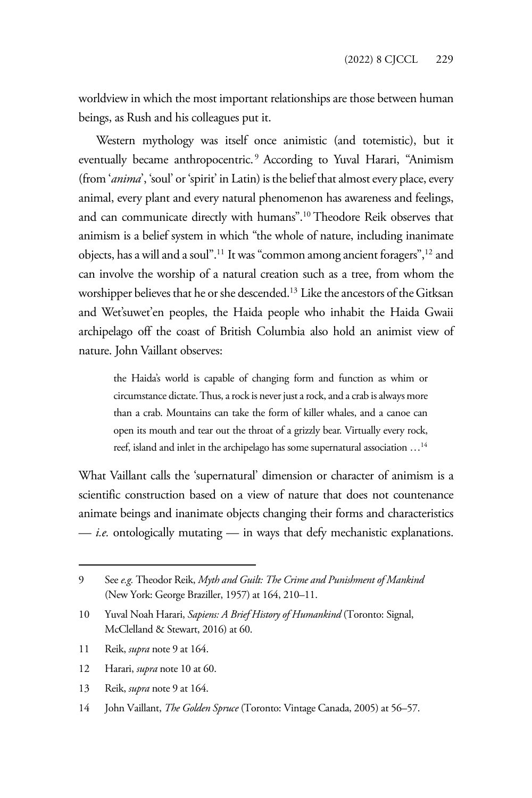worldview in which the most important relationships are those between human beings, as Rush and his colleagues put it.

Western mythology was itself once animistic (and totemistic), but it eventually became anthropocentric.<sup>9</sup> According to Yuval Harari, "Animism (from '*anima*', 'soul' or 'spirit' in Latin) is the belief that almost every place, every animal, every plant and every natural phenomenon has awareness and feelings, and can communicate directly with humans".10 Theodore Reik observes that animism is a belief system in which "the whole of nature, including inanimate objects, has a will and a soul".11 It was "common among ancient foragers",12 and can involve the worship of a natural creation such as a tree, from whom the worshipper believes that he or she descended.<sup>13</sup> Like the ancestors of the Gitksan and Wet'suwet'en peoples, the Haida people who inhabit the Haida Gwaii archipelago off the coast of British Columbia also hold an animist view of nature. John Vaillant observes:

the Haida's world is capable of changing form and function as whim or circumstance dictate. Thus, a rock is never just a rock, and a crab is always more than a crab. Mountains can take the form of killer whales, and a canoe can open its mouth and tear out the throat of a grizzly bear. Virtually every rock, reef, island and inlet in the archipelago has some supernatural association …14

What Vaillant calls the 'supernatural' dimension or character of animism is a scientific construction based on a view of nature that does not countenance animate beings and inanimate objects changing their forms and characteristics — *i.e.* ontologically mutating — in ways that defy mechanistic explanations.

<sup>9</sup> See *e.g.* Theodor Reik, *Myth and Guilt: The Crime and Punishment of Mankind* (New York: George Braziller, 1957) at 164, 210–11.

<sup>10</sup> Yuval Noah Harari, *Sapiens: A Brief History of Humankind* (Toronto: Signal, McClelland & Stewart, 2016) at 60.

<sup>11</sup> Reik, *supra* note 9 at 164.

<sup>12</sup> Harari, *supra* note 10 at 60.

<sup>13</sup> Reik, *supra* note 9 at 164.

<sup>14</sup> John Vaillant, *The Golden Spruce* (Toronto: Vintage Canada, 2005) at 56–57.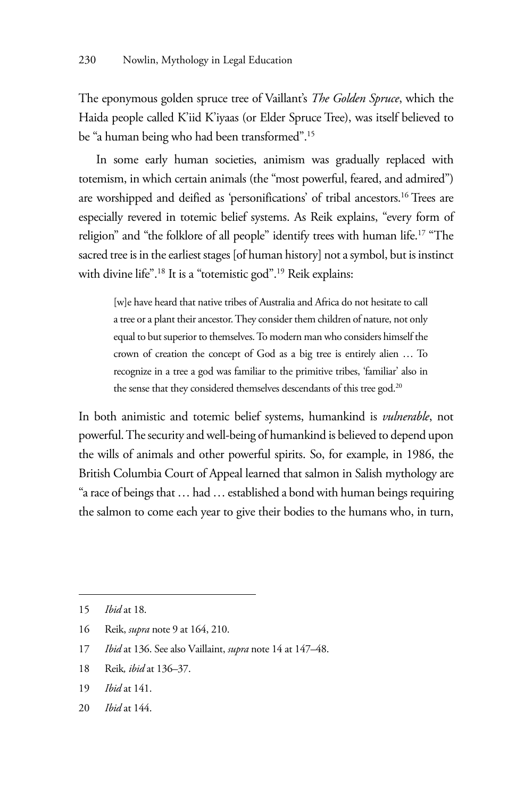The eponymous golden spruce tree of Vaillant's *The Golden Spruce*, which the Haida people called K'iid K'iyaas (or Elder Spruce Tree), was itself believed to be "a human being who had been transformed".15

In some early human societies, animism was gradually replaced with totemism, in which certain animals (the "most powerful, feared, and admired") are worshipped and deified as 'personifications' of tribal ancestors.16 Trees are especially revered in totemic belief systems. As Reik explains, "every form of religion" and "the folklore of all people" identify trees with human life.<sup>17</sup> "The sacred tree is in the earliest stages [of human history] not a symbol, but is instinct with divine life".18 It is a "totemistic god".19 Reik explains:

[w]e have heard that native tribes of Australia and Africa do not hesitate to call a tree or a plant their ancestor. They consider them children of nature, not only equal to but superior to themselves. To modern man who considers himself the crown of creation the concept of God as a big tree is entirely alien … To recognize in a tree a god was familiar to the primitive tribes, 'familiar' also in the sense that they considered themselves descendants of this tree god.<sup>20</sup>

In both animistic and totemic belief systems, humankind is *vulnerable*, not powerful. The security and well-being of humankind is believed to depend upon the wills of animals and other powerful spirits. So, for example, in 1986, the British Columbia Court of Appeal learned that salmon in Salish mythology are "a race of beings that … had … established a bond with human beings requiring the salmon to come each year to give their bodies to the humans who, in turn,

<sup>15</sup> *Ibid* at 18.

<sup>16</sup> Reik, *supra* note 9 at 164, 210.

<sup>17</sup> *Ibid* at 136. See also Vaillaint, *supra* note 14 at 147–48.

<sup>18</sup> Reik*, ibid* at 136–37.

<sup>19</sup> *Ibid* at 141.

<sup>20</sup> *Ibid* at 144.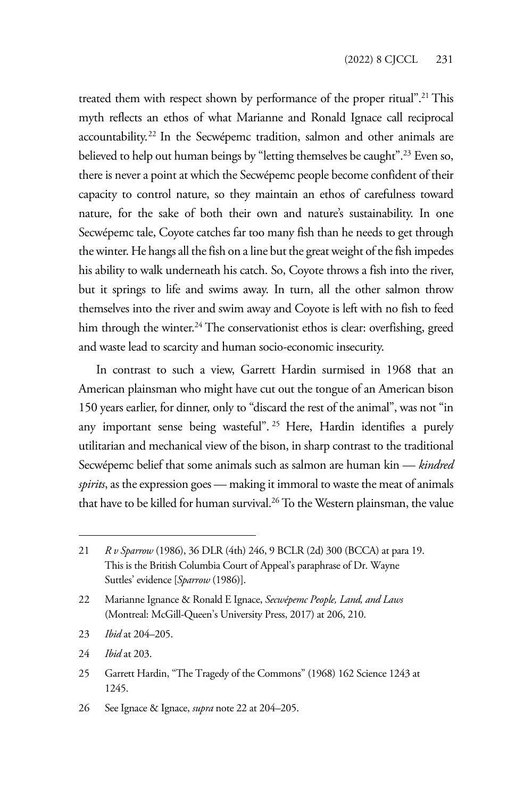treated them with respect shown by performance of the proper ritual".<sup>21</sup> This myth reflects an ethos of what Marianne and Ronald Ignace call reciprocal accountability.<sup>22</sup> In the Secwépemc tradition, salmon and other animals are believed to help out human beings by "letting themselves be caught".<sup>23</sup> Even so, there is never a point at which the Secwépemc people become confident of their capacity to control nature, so they maintain an ethos of carefulness toward nature, for the sake of both their own and nature's sustainability. In one Secwépemc tale, Coyote catches far too many fish than he needs to get through the winter. He hangs all the fish on a line but the great weight of the fish impedes his ability to walk underneath his catch. So, Coyote throws a fish into the river, but it springs to life and swims away. In turn, all the other salmon throw themselves into the river and swim away and Coyote is left with no fish to feed him through the winter.<sup>24</sup> The conservationist ethos is clear: overfishing, greed and waste lead to scarcity and human socio-economic insecurity.

In contrast to such a view, Garrett Hardin surmised in 1968 that an American plainsman who might have cut out the tongue of an American bison 150 years earlier, for dinner, only to "discard the rest of the animal", was not "in any important sense being wasteful". 25 Here, Hardin identifies a purely utilitarian and mechanical view of the bison, in sharp contrast to the traditional Secwépemc belief that some animals such as salmon are human kin — *kindred spirits*, as the expression goes — making it immoral to waste the meat of animals that have to be killed for human survival.<sup>26</sup> To the Western plainsman, the value

- 23 *Ibid* at 204–205.
- 24 *Ibid* at 203.
- 25 Garrett Hardin, "The Tragedy of the Commons" (1968) 162 Science 1243 at 1245.

<sup>21</sup> *R v Sparrow* (1986), 36 DLR (4th) 246, 9 BCLR (2d) 300 (BCCA) at para 19. This is the British Columbia Court of Appeal's paraphrase of Dr. Wayne Suttles' evidence [*Sparrow* (1986)].

<sup>22</sup> Marianne Ignance & Ronald E Ignace, *Secwépemc People, Land, and Laws* (Montreal: McGill-Queen's University Press, 2017) at 206, 210.

<sup>26</sup> See Ignace & Ignace, *supra* note 22 at 204–205.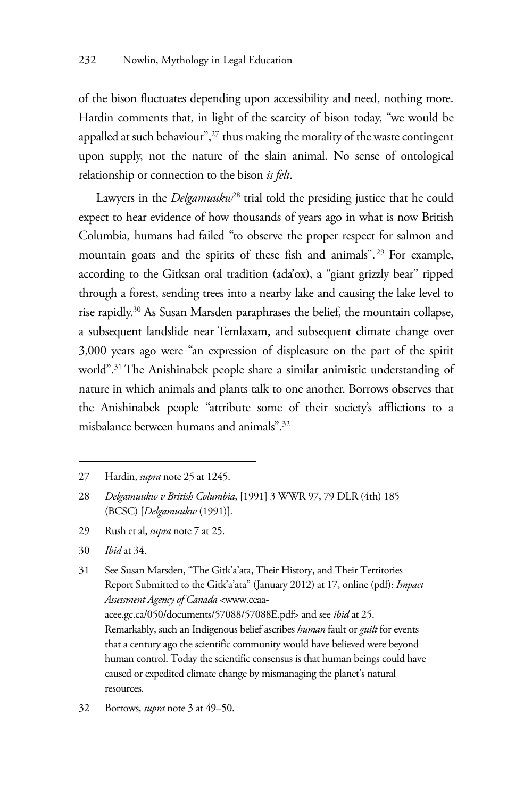of the bison fluctuates depending upon accessibility and need, nothing more. Hardin comments that, in light of the scarcity of bison today, "we would be appalled at such behaviour",<sup>27</sup> thus making the morality of the waste contingent upon supply, not the nature of the slain animal. No sense of ontological relationship or connection to the bison *is felt*.

Lawyers in the *Delgamuukw*<sup>28</sup> trial told the presiding justice that he could expect to hear evidence of how thousands of years ago in what is now British Columbia, humans had failed "to observe the proper respect for salmon and mountain goats and the spirits of these fish and animals". 29 For example, according to the Gitksan oral tradition (ada'ox), a "giant grizzly bear" ripped through a forest, sending trees into a nearby lake and causing the lake level to rise rapidly.30 As Susan Marsden paraphrases the belief, the mountain collapse, a subsequent landslide near Temlaxam, and subsequent climate change over 3,000 years ago were "an expression of displeasure on the part of the spirit world".<sup>31</sup> The Anishinabek people share a similar animistic understanding of nature in which animals and plants talk to one another. Borrows observes that the Anishinabek people "attribute some of their society's afflictions to a misbalance between humans and animals".32

- 29 Rush et al, *supra* note 7 at 25.
- 30 *Ibid* at 34.

31 See Susan Marsden, "The Gitk'a'ata, Their History, and Their Territories Report Submitted to the Gitk'a'ata" (January 2012) at 17, online (pdf): *Impact Assessment Agency of Canada* <www.ceaaacee.gc.ca/050/documents/57088/57088E.pdf> and see *ibid* at 25. Remarkably, such an Indigenous belief ascribes *human* fault or *guilt* for events that a century ago the scientific community would have believed were beyond human control. Today the scientific consensus is that human beings could have caused or expedited climate change by mismanaging the planet's natural resources.

32 Borrows, *supra* note 3 at 49–50.

<sup>27</sup> Hardin, *supra* note 25 at 1245.

<sup>28</sup> *Delgamuukw v British Columbia*, [1991] 3 WWR 97, 79 DLR (4th) 185 (BCSC) [*Delgamuukw* (1991)].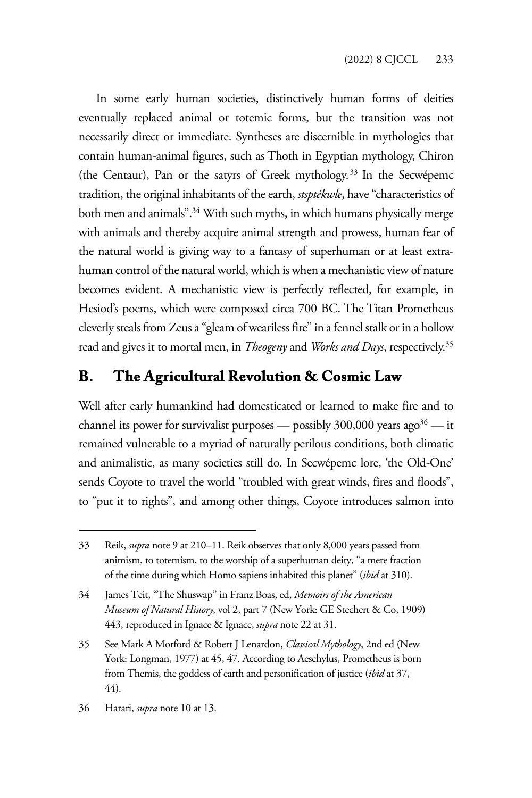In some early human societies, distinctively human forms of deities eventually replaced animal or totemic forms, but the transition was not necessarily direct or immediate. Syntheses are discernible in mythologies that contain human-animal figures, such as Thoth in Egyptian mythology, Chiron (the Centaur), Pan or the satyrs of Greek mythology.33 In the Secwépemc tradition, the original inhabitants of the earth, *stsptékwle*, have "characteristics of both men and animals".<sup>34</sup> With such myths, in which humans physically merge with animals and thereby acquire animal strength and prowess, human fear of the natural world is giving way to a fantasy of superhuman or at least extrahuman control of the natural world, which is when a mechanistic view of nature becomes evident. A mechanistic view is perfectly reflected, for example, in Hesiod's poems, which were composed circa 700 BC. The Titan Prometheus cleverly steals from Zeus a "gleam of weariless fire" in a fennel stalk or in a hollow read and gives it to mortal men, in *Theogeny* and *Works and Days*, respectively.35

### **B. The Agricultural Revolution & Cosmic Law**

Well after early humankind had domesticated or learned to make fire and to channel its power for survivalist purposes — possibly  $300,000$  years ago<sup>36</sup> — it remained vulnerable to a myriad of naturally perilous conditions, both climatic and animalistic, as many societies still do. In Secwépemc lore, 'the Old-One' sends Coyote to travel the world "troubled with great winds, fires and floods", to "put it to rights", and among other things, Coyote introduces salmon into

<sup>33</sup> Reik, *supra* note 9 at 210–11. Reik observes that only 8,000 years passed from animism, to totemism, to the worship of a superhuman deity, "a mere fraction of the time during which Homo sapiens inhabited this planet" (*ibid* at 310).

<sup>34</sup> James Teit, "The Shuswap" in Franz Boas, ed, *Memoirs of the American Museum of Natural History*, vol 2, part 7 (New York: GE Stechert & Co, 1909) 443, reproduced in Ignace & Ignace, *supra* note 22 at 31.

<sup>35</sup> See Mark A Morford & Robert J Lenardon, *Classical Mythology*, 2nd ed (New York: Longman, 1977) at 45, 47. According to Aeschylus, Prometheus is born from Themis, the goddess of earth and personification of justice (*ibid* at 37, 44).

<sup>36</sup> Harari, *supra* note 10 at 13.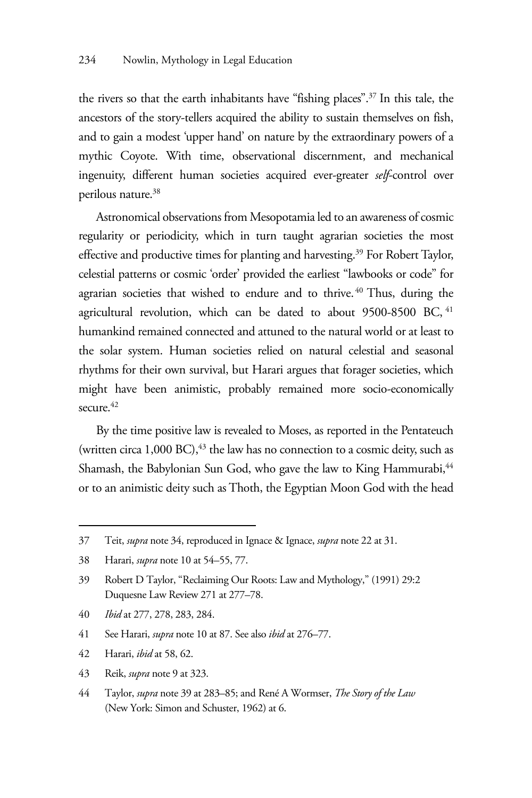the rivers so that the earth inhabitants have "fishing places".37 In this tale, the ancestors of the story-tellers acquired the ability to sustain themselves on fish, and to gain a modest 'upper hand' on nature by the extraordinary powers of a mythic Coyote. With time, observational discernment, and mechanical ingenuity, different human societies acquired ever-greater *self*-control over perilous nature.38

Astronomical observations from Mesopotamia led to an awareness of cosmic regularity or periodicity, which in turn taught agrarian societies the most effective and productive times for planting and harvesting.<sup>39</sup> For Robert Taylor, celestial patterns or cosmic 'order' provided the earliest "lawbooks or code" for agrarian societies that wished to endure and to thrive. 40 Thus, during the agricultural revolution, which can be dated to about 9500-8500 BC, <sup>41</sup> humankind remained connected and attuned to the natural world or at least to the solar system. Human societies relied on natural celestial and seasonal rhythms for their own survival, but Harari argues that forager societies, which might have been animistic, probably remained more socio-economically  $secure$ <sup>42</sup>

By the time positive law is revealed to Moses, as reported in the Pentateuch (written circa  $1,000$  BC),  $43$  the law has no connection to a cosmic deity, such as Shamash, the Babylonian Sun God, who gave the law to King Hammurabi, <sup>44</sup> or to an animistic deity such as Thoth, the Egyptian Moon God with the head

- 40 *Ibid* at 277, 278, 283, 284.
- 41 See Harari, *supra* note 10 at 87. See also *ibid* at 276–77.
- 42 Harari, *ibid* at 58, 62.
- 43 Reik, *supra* note 9 at 323.
- 44 Taylor, *supra* note 39 at 283–85; and René A Wormser, *The Story of the Law* (New York: Simon and Schuster, 1962) at 6.

<sup>37</sup> Teit, *supra* note 34, reproduced in Ignace & Ignace, *supra* note 22 at 31.

<sup>38</sup> Harari, *supra* note 10 at 54–55, 77.

<sup>39</sup> Robert D Taylor, "Reclaiming Our Roots: Law and Mythology," (1991) 29:2 Duquesne Law Review 271 at 277–78.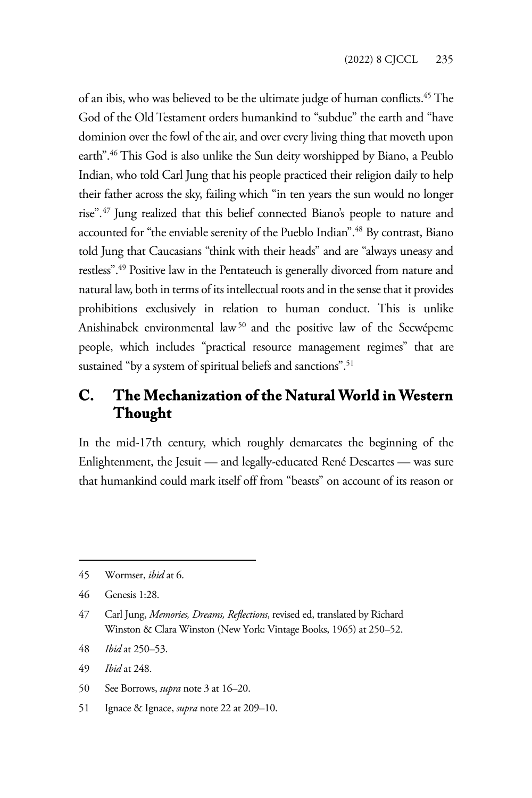of an ibis, who was believed to be the ultimate judge of human conflicts.<sup>45</sup> The God of the Old Testament orders humankind to "subdue" the earth and "have dominion over the fowl of the air, and over every living thing that moveth upon earth".46 This God is also unlike the Sun deity worshipped by Biano, a Peublo Indian, who told Carl Jung that his people practiced their religion daily to help their father across the sky, failing which "in ten years the sun would no longer rise".47 Jung realized that this belief connected Biano's people to nature and accounted for "the enviable serenity of the Pueblo Indian".48 By contrast, Biano told Jung that Caucasians "think with their heads" and are "always uneasy and restless".49 Positive law in the Pentateuch is generally divorced from nature and natural law, both in terms of its intellectual roots and in the sense that it provides prohibitions exclusively in relation to human conduct. This is unlike Anishinabek environmental law<sup>50</sup> and the positive law of the Secwépemc people, which includes "practical resource management regimes" that are sustained "by a system of spiritual beliefs and sanctions".<sup>51</sup>

### **C. The Mechanization of the Natural World in Western Thought**

In the mid-17th century, which roughly demarcates the beginning of the Enlightenment, the Jesuit — and legally-educated René Descartes — was sure that humankind could mark itself off from "beasts" on account of its reason or

- 48 *Ibid* at 250–53.
- 49 *Ibid* at 248.
- 50 See Borrows, *supra* note 3 at 16–20.
- 51 Ignace & Ignace, *supra* note 22 at 209–10.

<sup>45</sup> Wormser, *ibid* at 6.

<sup>46</sup> Genesis 1:28.

<sup>47</sup> Carl Jung, *Memories, Dreams, Reflections*, revised ed, translated by Richard Winston & Clara Winston (New York: Vintage Books, 1965) at 250–52.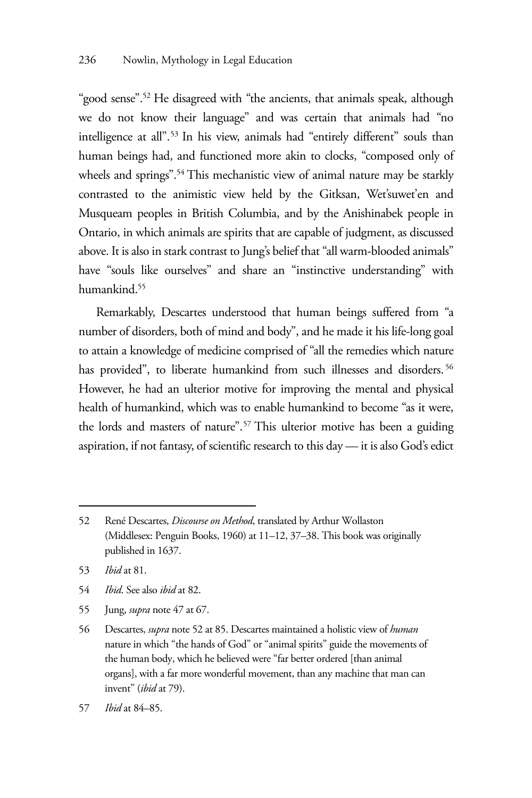"good sense".52 He disagreed with "the ancients, that animals speak, although we do not know their language" and was certain that animals had "no intelligence at all".<sup>53</sup> In his view, animals had "entirely different" souls than human beings had, and functioned more akin to clocks, "composed only of wheels and springs".<sup>54</sup> This mechanistic view of animal nature may be starkly contrasted to the animistic view held by the Gitksan, Wet'suwet'en and Musqueam peoples in British Columbia, and by the Anishinabek people in Ontario, in which animals are spirits that are capable of judgment, as discussed above. It is also in stark contrast to Jung's belief that "all warm-blooded animals" have "souls like ourselves" and share an "instinctive understanding" with humankind.55

Remarkably, Descartes understood that human beings suffered from "a number of disorders, both of mind and body", and he made it his life-long goal to attain a knowledge of medicine comprised of "all the remedies which nature has provided", to liberate humankind from such illnesses and disorders.<sup>56</sup> However, he had an ulterior motive for improving the mental and physical health of humankind, which was to enable humankind to become "as it were, the lords and masters of nature".57 This ulterior motive has been a guiding aspiration, if not fantasy, of scientific research to this day — it is also God's edict

53 *Ibid* at 81.

- 54 *Ibid*. See also *ibid* at 82.
- 55 Jung, *supra* note 47 at 67.

57 *Ibid* at 84–85.

<sup>52</sup> René Descartes, *Discourse on Method*, translated by Arthur Wollaston (Middlesex: Penguin Books, 1960) at 11–12, 37–38. This book was originally published in 1637.

<sup>56</sup> Descartes, *supra* note 52 at 85. Descartes maintained a holistic view of *human* nature in which "the hands of God" or "animal spirits" guide the movements of the human body, which he believed were "far better ordered [than animal organs], with a far more wonderful movement, than any machine that man can invent" (*ibid* at 79).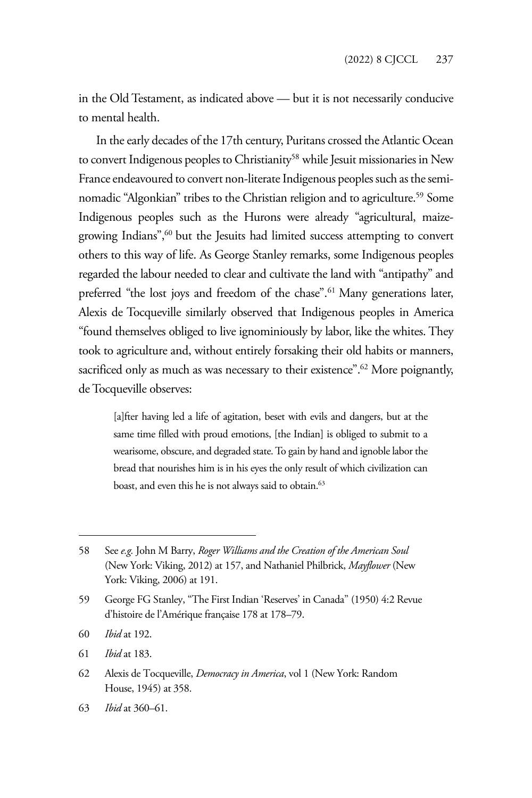in the Old Testament, as indicated above — but it is not necessarily conducive to mental health.

In the early decades of the 17th century, Puritans crossed the Atlantic Ocean to convert Indigenous peoples to Christianity<sup>58</sup> while Jesuit missionaries in New France endeavoured to convert non-literate Indigenous peoples such as the seminomadic "Algonkian" tribes to the Christian religion and to agriculture.<sup>59</sup> Some Indigenous peoples such as the Hurons were already "agricultural, maizegrowing Indians",60 but the Jesuits had limited success attempting to convert others to this way of life. As George Stanley remarks, some Indigenous peoples regarded the labour needed to clear and cultivate the land with "antipathy" and preferred "the lost joys and freedom of the chase".<sup>61</sup> Many generations later, Alexis de Tocqueville similarly observed that Indigenous peoples in America "found themselves obliged to live ignominiously by labor, like the whites. They took to agriculture and, without entirely forsaking their old habits or manners, sacrificed only as much as was necessary to their existence".<sup>62</sup> More poignantly, de Tocqueville observes:

[a]fter having led a life of agitation, beset with evils and dangers, but at the same time filled with proud emotions, [the Indian] is obliged to submit to a wearisome, obscure, and degraded state. To gain by hand and ignoble labor the bread that nourishes him is in his eyes the only result of which civilization can boast, and even this he is not always said to obtain.<sup>63</sup>

61 *Ibid* at 183.

62 Alexis de Tocqueville, *Democracy in America*, vol 1 (New York: Random House, 1945) at 358.

<sup>58</sup> See *e.g.* John M Barry, *Roger Williams and the Creation of the American Soul* (New York: Viking, 2012) at 157, and Nathaniel Philbrick, *Mayflower* (New York: Viking, 2006) at 191.

<sup>59</sup> George FG Stanley, "The First Indian 'Reserves' in Canada" (1950) 4:2 Revue d'histoire de l'Amérique française 178 at 178–79.

<sup>60</sup> *Ibid* at 192.

<sup>63</sup> *Ibid* at 360–61.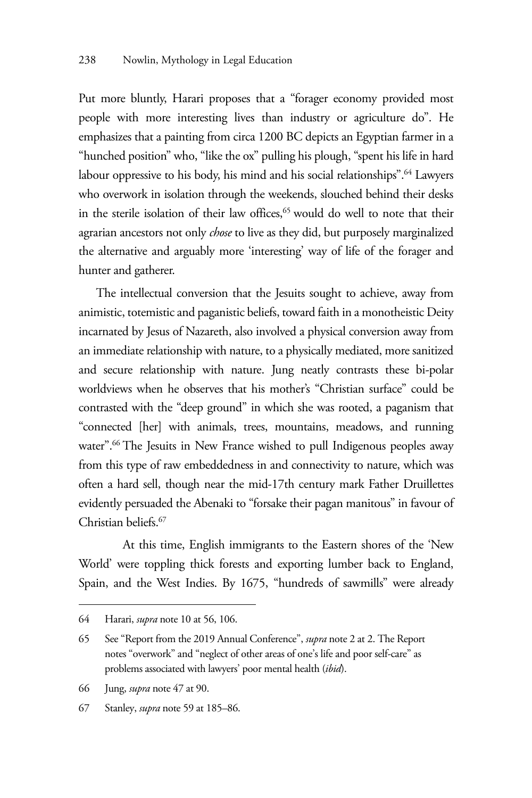Put more bluntly, Harari proposes that a "forager economy provided most people with more interesting lives than industry or agriculture do". He emphasizes that a painting from circa 1200 BC depicts an Egyptian farmer in a "hunched position" who, "like the ox" pulling his plough, "spent his life in hard labour oppressive to his body, his mind and his social relationships".<sup>64</sup> Lawyers who overwork in isolation through the weekends, slouched behind their desks in the sterile isolation of their law offices,<sup>65</sup> would do well to note that their agrarian ancestors not only *chose* to live as they did, but purposely marginalized the alternative and arguably more 'interesting' way of life of the forager and hunter and gatherer.

The intellectual conversion that the Jesuits sought to achieve, away from animistic, totemistic and paganistic beliefs, toward faith in a monotheistic Deity incarnated by Jesus of Nazareth, also involved a physical conversion away from an immediate relationship with nature, to a physically mediated, more sanitized and secure relationship with nature. Jung neatly contrasts these bi-polar worldviews when he observes that his mother's "Christian surface" could be contrasted with the "deep ground" in which she was rooted, a paganism that "connected [her] with animals, trees, mountains, meadows, and running water".<sup>66</sup> The Jesuits in New France wished to pull Indigenous peoples away from this type of raw embeddedness in and connectivity to nature, which was often a hard sell, though near the mid-17th century mark Father Druillettes evidently persuaded the Abenaki to "forsake their pagan manitous" in favour of Christian beliefs.67

 At this time, English immigrants to the Eastern shores of the 'New World' were toppling thick forests and exporting lumber back to England, Spain, and the West Indies. By 1675, "hundreds of sawmills" were already

<sup>64</sup> Harari, *supra* note 10 at 56, 106.

<sup>65</sup> See "Report from the 2019 Annual Conference", *supra* note 2 at 2. The Report notes "overwork" and "neglect of other areas of one's life and poor self-care" as problems associated with lawyers' poor mental health (*ibid*).

<sup>66</sup> Jung, *supra* note 47 at 90.

<sup>67</sup> Stanley, *supra* note 59 at 185–86.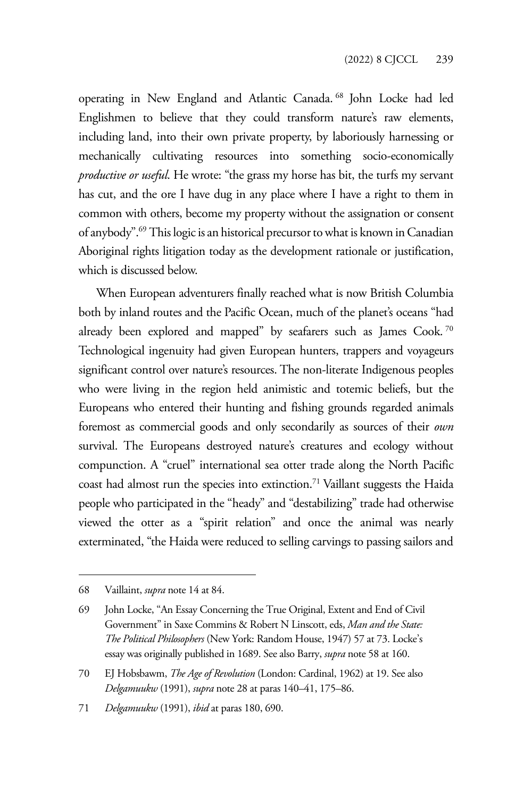operating in New England and Atlantic Canada. 68 John Locke had led Englishmen to believe that they could transform nature's raw elements, including land, into their own private property, by laboriously harnessing or mechanically cultivating resources into something socio-economically *productive or useful*. He wrote: "the grass my horse has bit, the turfs my servant has cut, and the ore I have dug in any place where I have a right to them in common with others, become my property without the assignation or consent of anybody".69 This logic is an historical precursor to what is known in Canadian Aboriginal rights litigation today as the development rationale or justification, which is discussed below.

When European adventurers finally reached what is now British Columbia both by inland routes and the Pacific Ocean, much of the planet's oceans "had already been explored and mapped" by seafarers such as James Cook.<sup>70</sup> Technological ingenuity had given European hunters, trappers and voyageurs significant control over nature's resources. The non-literate Indigenous peoples who were living in the region held animistic and totemic beliefs, but the Europeans who entered their hunting and fishing grounds regarded animals foremost as commercial goods and only secondarily as sources of their *own* survival. The Europeans destroyed nature's creatures and ecology without compunction. A "cruel" international sea otter trade along the North Pacific coast had almost run the species into extinction.71 Vaillant suggests the Haida people who participated in the "heady" and "destabilizing" trade had otherwise viewed the otter as a "spirit relation" and once the animal was nearly exterminated, "the Haida were reduced to selling carvings to passing sailors and

<sup>68</sup> Vaillaint, *supra* note 14 at 84.

<sup>69</sup> John Locke, "An Essay Concerning the True Original, Extent and End of Civil Government" in Saxe Commins & Robert N Linscott, eds, *Man and the State: The Political Philosophers* (New York: Random House, 1947) 57 at 73. Locke's essay was originally published in 1689. See also Barry, *supra* note 58 at 160.

<sup>70</sup> EJ Hobsbawm, *The Age of Revolution* (London: Cardinal, 1962) at 19. See also *Delgamuukw* (1991), *supra* note 28 at paras 140–41, 175–86.

<sup>71</sup> *Delgamuukw* (1991), *ibid* at paras 180, 690.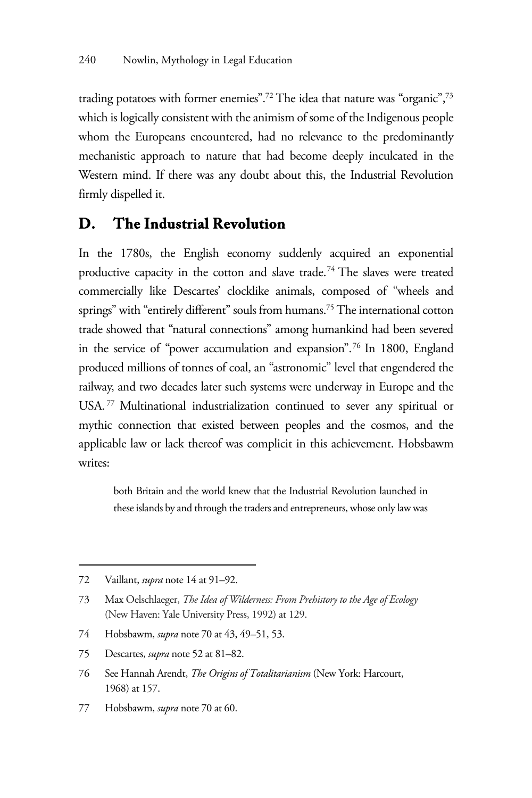trading potatoes with former enemies".<sup>72</sup> The idea that nature was "organic",<sup>73</sup> which is logically consistent with the animism of some of the Indigenous people whom the Europeans encountered, had no relevance to the predominantly mechanistic approach to nature that had become deeply inculcated in the Western mind. If there was any doubt about this, the Industrial Revolution firmly dispelled it.

#### **D. The Industrial Revolution**

In the 1780s, the English economy suddenly acquired an exponential productive capacity in the cotton and slave trade.74 The slaves were treated commercially like Descartes' clocklike animals, composed of "wheels and springs" with "entirely different" souls from humans.<sup>75</sup> The international cotton trade showed that "natural connections" among humankind had been severed in the service of "power accumulation and expansion".76 In 1800, England produced millions of tonnes of coal, an "astronomic" level that engendered the railway, and two decades later such systems were underway in Europe and the USA. 77 Multinational industrialization continued to sever any spiritual or mythic connection that existed between peoples and the cosmos, and the applicable law or lack thereof was complicit in this achievement. Hobsbawm writes:

both Britain and the world knew that the Industrial Revolution launched in these islands by and through the traders and entrepreneurs, whose only law was

- 74 Hobsbawm, *supra* note 70 at 43, 49–51, 53.
- 75 Descartes, *supra* note 52 at 81–82.
- 76 See Hannah Arendt, *The Origins of Totalitarianism* (New York: Harcourt, 1968) at 157.
- 77 Hobsbawm, *supra* note 70 at 60.

<sup>72</sup> Vaillant, *supra* note 14 at 91–92.

<sup>73</sup> Max Oelschlaeger, *The Idea of Wilderness: From Prehistory to the Age of Ecology*  (New Haven: Yale University Press, 1992) at 129.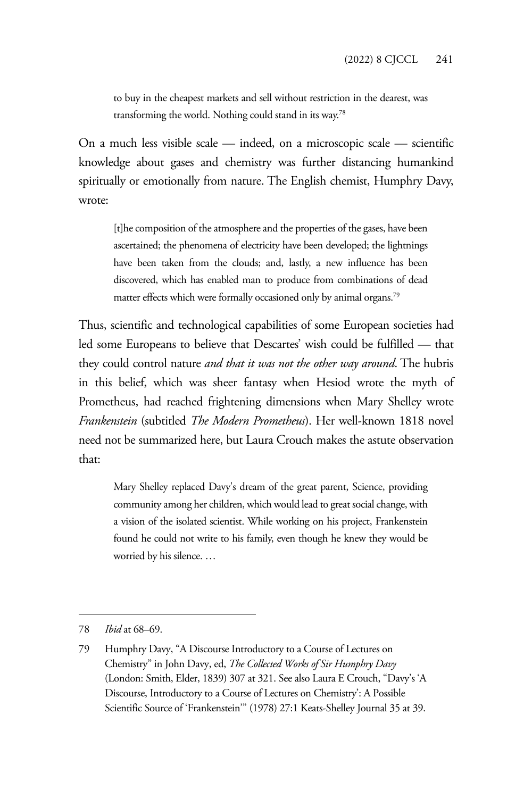to buy in the cheapest markets and sell without restriction in the dearest, was transforming the world. Nothing could stand in its way.78

On a much less visible scale — indeed, on a microscopic scale — scientific knowledge about gases and chemistry was further distancing humankind spiritually or emotionally from nature. The English chemist, Humphry Davy, wrote:

[t]he composition of the atmosphere and the properties of the gases, have been ascertained; the phenomena of electricity have been developed; the lightnings have been taken from the clouds; and, lastly, a new influence has been discovered, which has enabled man to produce from combinations of dead matter effects which were formally occasioned only by animal organs.<sup>79</sup>

Thus, scientific and technological capabilities of some European societies had led some Europeans to believe that Descartes' wish could be fulfilled — that they could control nature *and that it was not the other way around*. The hubris in this belief, which was sheer fantasy when Hesiod wrote the myth of Prometheus, had reached frightening dimensions when Mary Shelley wrote *Frankenstein* (subtitled *The Modern Prometheus*). Her well-known 1818 novel need not be summarized here, but Laura Crouch makes the astute observation that:

Mary Shelley replaced Davy's dream of the great parent, Science, providing community among her children, which would lead to great social change, with a vision of the isolated scientist. While working on his project, Frankenstein found he could not write to his family, even though he knew they would be worried by his silence. …

<sup>78</sup> *Ibid* at 68–69.

<sup>79</sup> Humphry Davy, "A Discourse Introductory to a Course of Lectures on Chemistry" in John Davy, ed, *The Collected Works of Sir Humphry Davy* (London: Smith, Elder, 1839) 307 at 321. See also Laura E Crouch, "Davy's 'A Discourse, Introductory to a Course of Lectures on Chemistry': A Possible Scientific Source of 'Frankenstein'" (1978) 27:1 Keats-Shelley Journal 35 at 39.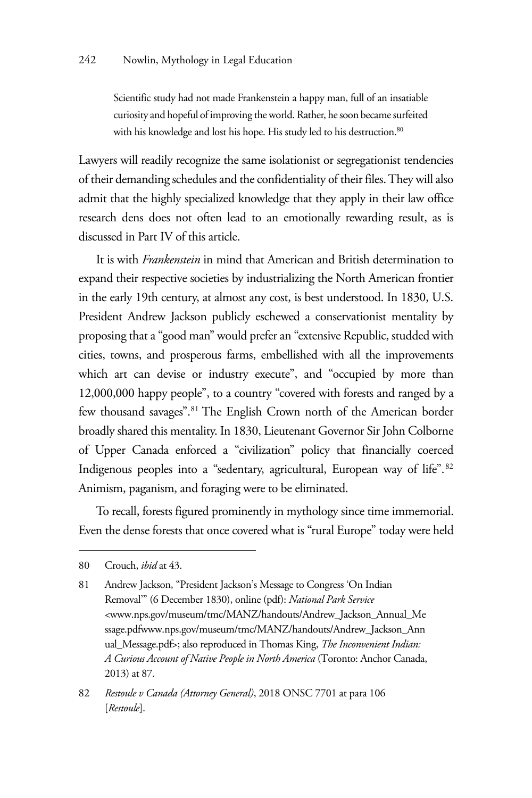Scientific study had not made Frankenstein a happy man, full of an insatiable curiosity and hopeful of improving the world. Rather, he soon became surfeited with his knowledge and lost his hope. His study led to his destruction.<sup>80</sup>

Lawyers will readily recognize the same isolationist or segregationist tendencies of their demanding schedules and the confidentiality of their files. They will also admit that the highly specialized knowledge that they apply in their law office research dens does not often lead to an emotionally rewarding result, as is discussed in Part IV of this article.

It is with *Frankenstein* in mind that American and British determination to expand their respective societies by industrializing the North American frontier in the early 19th century, at almost any cost, is best understood. In 1830, U.S. President Andrew Jackson publicly eschewed a conservationist mentality by proposing that a "good man" would prefer an "extensive Republic, studded with cities, towns, and prosperous farms, embellished with all the improvements which art can devise or industry execute", and "occupied by more than 12,000,000 happy people", to a country "covered with forests and ranged by a few thousand savages".<sup>81</sup> The English Crown north of the American border broadly shared this mentality. In 1830, Lieutenant Governor Sir John Colborne of Upper Canada enforced a "civilization" policy that financially coerced Indigenous peoples into a "sedentary, agricultural, European way of life".<sup>82</sup> Animism, paganism, and foraging were to be eliminated.

To recall, forests figured prominently in mythology since time immemorial. Even the dense forests that once covered what is "rural Europe" today were held

<sup>80</sup> Crouch, *ibid* at 43.

<sup>81</sup> Andrew Jackson, "President Jackson's Message to Congress 'On Indian Removal'" (6 December 1830), online (pdf): *National Park Service*  <www.nps.gov/museum/tmc/MANZ/handouts/Andrew\_Jackson\_Annual\_Me ssage.pdfwww.nps.gov/museum/tmc/MANZ/handouts/Andrew\_Jackson\_Ann ual\_Message.pdf>; also reproduced in Thomas King, *The Inconvenient Indian: A Curious Account of Native People in North America* (Toronto: Anchor Canada, 2013) at 87.

<sup>82</sup> *Restoule v Canada (Attorney General)*, 2018 ONSC 7701 at para 106 [*Restoule*].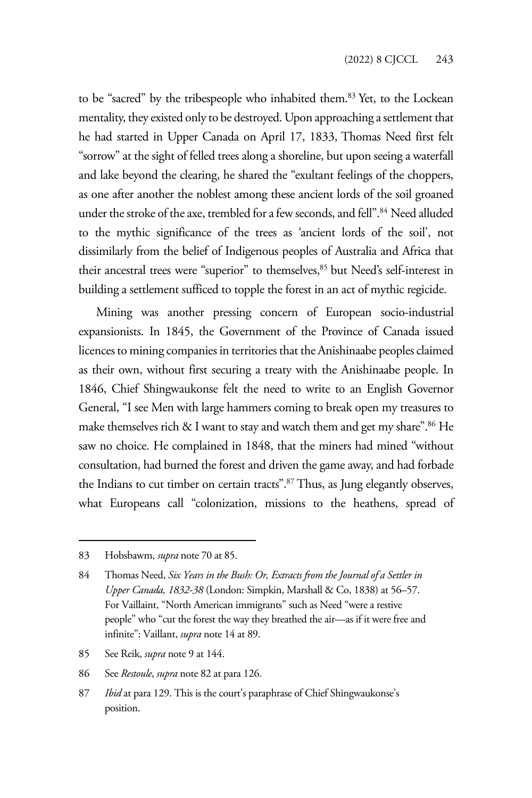to be "sacred" by the tribespeople who inhabited them.<sup>83</sup> Yet, to the Lockean mentality, they existed only to be destroyed. Upon approaching a settlement that he had started in Upper Canada on April 17, 1833, Thomas Need first felt "sorrow" at the sight of felled trees along a shoreline, but upon seeing a waterfall and lake beyond the clearing, he shared the "exultant feelings of the choppers, as one after another the noblest among these ancient lords of the soil groaned under the stroke of the axe, trembled for a few seconds, and fell".<sup>84</sup> Need alluded to the mythic significance of the trees as 'ancient lords of the soil', not dissimilarly from the belief of Indigenous peoples of Australia and Africa that their ancestral trees were "superior" to themselves,<sup>85</sup> but Need's self-interest in building a settlement sufficed to topple the forest in an act of mythic regicide.

Mining was another pressing concern of European socio-industrial expansionists. In 1845, the Government of the Province of Canada issued licences to mining companies in territories that the Anishinaabe peoples claimed as their own, without first securing a treaty with the Anishinaabe people. In 1846, Chief Shingwaukonse felt the need to write to an English Governor General, "I see Men with large hammers coming to break open my treasures to make themselves rich  $&$  I want to stay and watch them and get my share".<sup>86</sup> He saw no choice. He complained in 1848, that the miners had mined "without consultation, had burned the forest and driven the game away, and had forbade the Indians to cut timber on certain tracts".<sup>87</sup> Thus, as Jung elegantly observes, what Europeans call "colonization, missions to the heathens, spread of

- 85 See Reik, *supra* note 9 at 144.
- 86 See *Restoule*, *supra* note 82 at para 126.
- 87 *Ibid* at para 129. This is the court's paraphrase of Chief Shingwaukonse's position.

<sup>83</sup> Hobsbawm, *supra* note 70 at 85.

<sup>84</sup> Thomas Need, *Six Years in the Bush: Or, Extracts from the Journal of a Settler in Upper Canada, 1832-38* (London: Simpkin, Marshall & Co, 1838) at 56–57. For Vaillaint, "North American immigrants" such as Need "were a restive people" who "cut the forest the way they breathed the air—as if it were free and infinite": Vaillant, *supra* note 14 at 89.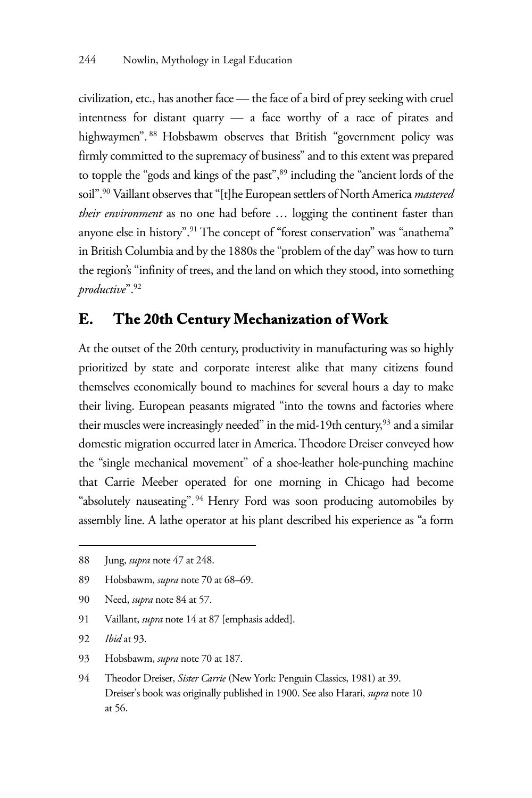civilization, etc., has another face — the face of a bird of prey seeking with cruel intentness for distant quarry — a face worthy of a race of pirates and highwaymen". 88 Hobsbawm observes that British "government policy was firmly committed to the supremacy of business" and to this extent was prepared to topple the "gods and kings of the past",<sup>89</sup> including the "ancient lords of the soil".90 Vaillant observes that "[t]he European settlers of North America *mastered their environment* as no one had before … logging the continent faster than anyone else in history".<sup>91</sup> The concept of "forest conservation" was "anathema" in British Columbia and by the 1880s the "problem of the day" was how to turn the region's "infinity of trees, and the land on which they stood, into something *productive*".92

### **E. The 20th Century Mechanization of Work**

At the outset of the 20th century, productivity in manufacturing was so highly prioritized by state and corporate interest alike that many citizens found themselves economically bound to machines for several hours a day to make their living. European peasants migrated "into the towns and factories where their muscles were increasingly needed" in the mid-19th century,<sup>93</sup> and a similar domestic migration occurred later in America. Theodore Dreiser conveyed how the "single mechanical movement" of a shoe-leather hole-punching machine that Carrie Meeber operated for one morning in Chicago had become "absolutely nauseating". 94 Henry Ford was soon producing automobiles by assembly line. A lathe operator at his plant described his experience as "a form

- 90 Need, *supra* note 84 at 57.
- 91 Vaillant, *supra* note 14 at 87 [emphasis added].
- 92 *Ibid* at 93.
- 93 Hobsbawm, *supra* note 70 at 187.
- 94 Theodor Dreiser, *Sister Carrie* (New York: Penguin Classics, 1981) at 39. Dreiser's book was originally published in 1900. See also Harari, *supra* note 10 at 56.

<sup>88</sup> Jung, *supra* note 47 at 248.

<sup>89</sup> Hobsbawm, *supra* note 70 at 68–69.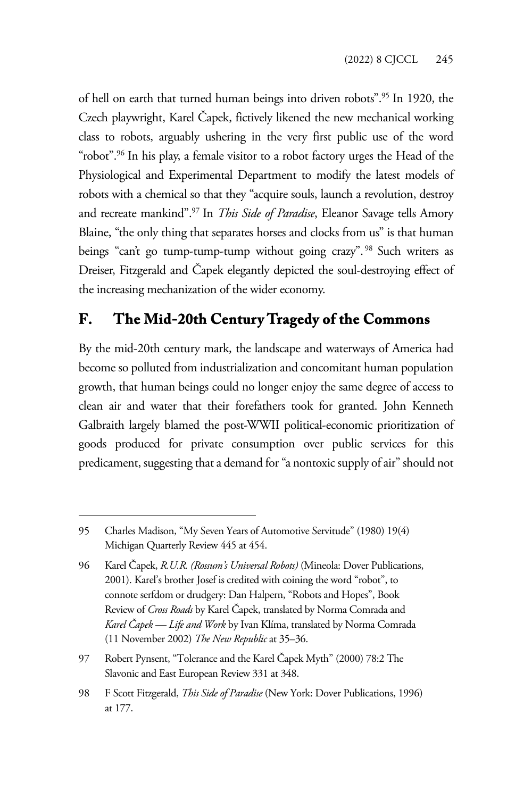of hell on earth that turned human beings into driven robots".95 In 1920, the Czech playwright, Karel Čapek, fictively likened the new mechanical working class to robots, arguably ushering in the very first public use of the word "robot".<sup>96</sup> In his play, a female visitor to a robot factory urges the Head of the Physiological and Experimental Department to modify the latest models of robots with a chemical so that they "acquire souls, launch a revolution, destroy and recreate mankind".97 In *This Side of Paradise*, Eleanor Savage tells Amory Blaine, "the only thing that separates horses and clocks from us" is that human beings "can't go tump-tump-tump without going crazy".<sup>98</sup> Such writers as Dreiser, Fitzgerald and Čapek elegantly depicted the soul-destroying effect of the increasing mechanization of the wider economy.

## **F. The Mid-20th Century Tragedy of the Commons**

By the mid-20th century mark, the landscape and waterways of America had become so polluted from industrialization and concomitant human population growth, that human beings could no longer enjoy the same degree of access to clean air and water that their forefathers took for granted. John Kenneth Galbraith largely blamed the post-WWII political-economic prioritization of goods produced for private consumption over public services for this predicament, suggesting that a demand for "a nontoxic supply of air" should not

<sup>95</sup> Charles Madison, "My Seven Years of Automotive Servitude" (1980) 19(4) Michigan Quarterly Review 445 at 454.

<sup>96</sup> Karel Čapek, *R.U.R. (Rossum's Universal Robots)* (Mineola: Dover Publications, 2001). Karel's brother Josef is credited with coining the word "robot", to connote serfdom or drudgery: Dan Halpern, "Robots and Hopes", Book Review of *Cross Roads* by Karel Čapek, translated by Norma Comrada and *Karel Čapek — Life and Work* by Ivan Klíma, translated by Norma Comrada (11 November 2002) *The New Republic* at 35–36.

<sup>97</sup> Robert Pynsent, "Tolerance and the Karel Čapek Myth" (2000) 78:2 The Slavonic and East European Review 331 at 348.

<sup>98</sup> F Scott Fitzgerald, *This Side of Paradise* (New York: Dover Publications, 1996) at 177.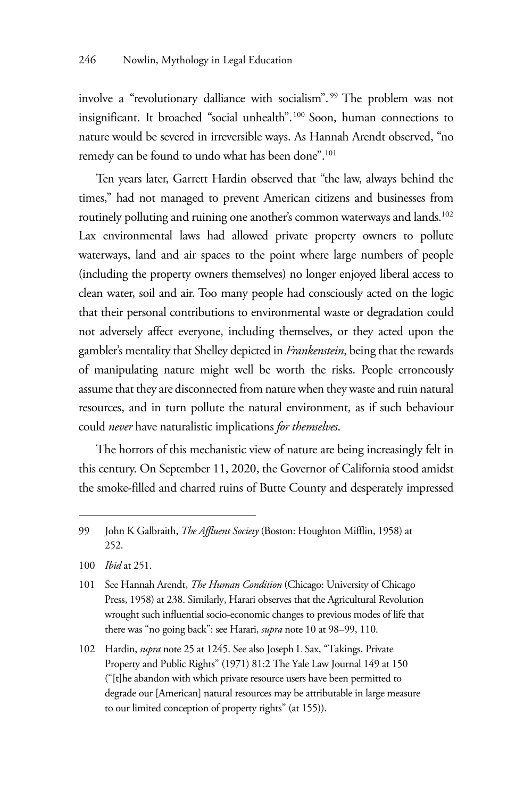involve a "revolutionary dalliance with socialism". 99 The problem was not insignificant. It broached "social unhealth".100 Soon, human connections to nature would be severed in irreversible ways. As Hannah Arendt observed, "no remedy can be found to undo what has been done".<sup>101</sup>

Ten years later, Garrett Hardin observed that "the law, always behind the times," had not managed to prevent American citizens and businesses from routinely polluting and ruining one another's common waterways and lands.<sup>102</sup> Lax environmental laws had allowed private property owners to pollute waterways, land and air spaces to the point where large numbers of people (including the property owners themselves) no longer enjoyed liberal access to clean water, soil and air. Too many people had consciously acted on the logic that their personal contributions to environmental waste or degradation could not adversely affect everyone, including themselves, or they acted upon the gambler's mentality that Shelley depicted in *Frankenstein*, being that the rewards of manipulating nature might well be worth the risks. People erroneously assume that they are disconnected from nature when they waste and ruin natural resources, and in turn pollute the natural environment, as if such behaviour could *never* have naturalistic implications *for themselves*.

The horrors of this mechanistic view of nature are being increasingly felt in this century. On September 11, 2020, the Governor of California stood amidst the smoke-filled and charred ruins of Butte County and desperately impressed

100 *Ibid* at 251.

<sup>99</sup> John K Galbraith, *The Affluent Society* (Boston: Houghton Mifflin, 1958) at 252.

<sup>101</sup> See Hannah Arendt, *The Human Condition* (Chicago: University of Chicago Press, 1958) at 238. Similarly, Harari observes that the Agricultural Revolution wrought such influential socio-economic changes to previous modes of life that there was "no going back": see Harari, *supra* note 10 at 98–99, 110.

<sup>102</sup> Hardin, *supra* note 25 at 1245. See also Joseph L Sax, "Takings, Private Property and Public Rights" (1971) 81:2 The Yale Law Journal 149 at 150 ("[t]he abandon with which private resource users have been permitted to degrade our [American] natural resources may be attributable in large measure to our limited conception of property rights" (at 155)).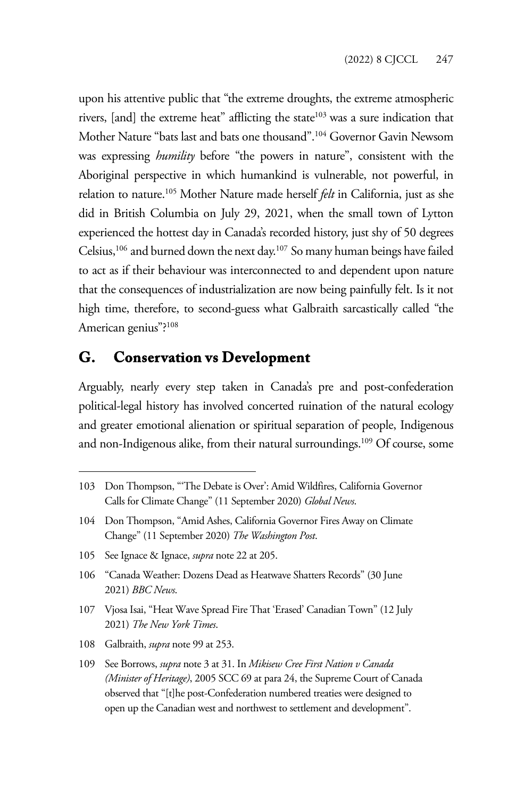upon his attentive public that "the extreme droughts, the extreme atmospheric rivers,  $[and]$  the extreme heat" afflicting the state $103$  was a sure indication that Mother Nature "bats last and bats one thousand".104 Governor Gavin Newsom was expressing *humility* before "the powers in nature", consistent with the Aboriginal perspective in which humankind is vulnerable, not powerful, in relation to nature.105 Mother Nature made herself *felt* in California, just as she did in British Columbia on July 29, 2021, when the small town of Lytton experienced the hottest day in Canada's recorded history, just shy of 50 degrees Celsius,106 and burned down the next day.107 So many human beings have failed to act as if their behaviour was interconnected to and dependent upon nature that the consequences of industrialization are now being painfully felt. Is it not high time, therefore, to second-guess what Galbraith sarcastically called "the American genius"?108

#### **G. Conservation vs Development**

Arguably, nearly every step taken in Canada's pre and post-confederation political-legal history has involved concerted ruination of the natural ecology and greater emotional alienation or spiritual separation of people, Indigenous and non-Indigenous alike, from their natural surroundings.<sup>109</sup> Of course, some

- 105 See Ignace & Ignace, *supra* note 22 at 205.
- 106 "Canada Weather: Dozens Dead as Heatwave Shatters Records" (30 June 2021) *BBC News*.
- 107 Vjosa Isai, "Heat Wave Spread Fire That 'Erased' Canadian Town" (12 July 2021) *The New York Times*.
- 108 Galbraith, *supra* note 99 at 253.
- 109 See Borrows, *supra* note 3 at 31. In *Mikisew Cree First Nation v Canada (Minister of Heritage)*, 2005 SCC 69 at para 24, the Supreme Court of Canada observed that "[t]he post-Confederation numbered treaties were designed to open up the Canadian west and northwest to settlement and development".

<sup>103</sup> Don Thompson, "'The Debate is Over': Amid Wildfires, California Governor Calls for Climate Change" (11 September 2020) *Global News*.

<sup>104</sup> Don Thompson, "Amid Ashes, California Governor Fires Away on Climate Change" (11 September 2020) *The Washington Post*.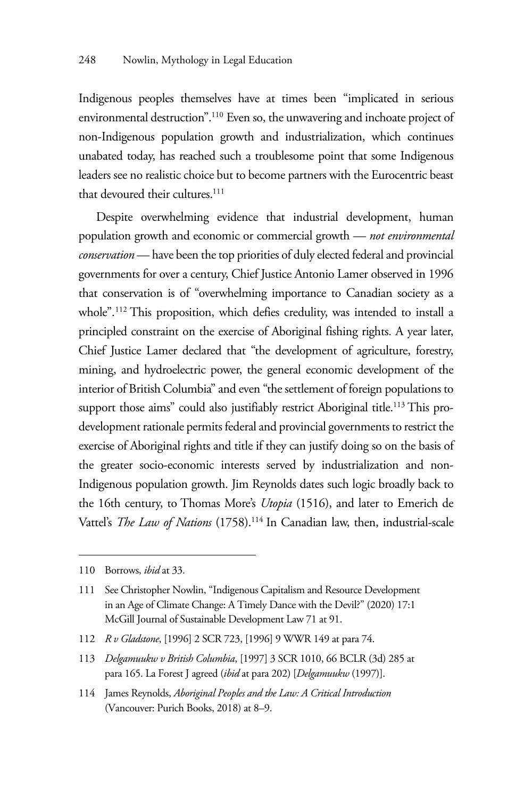Indigenous peoples themselves have at times been "implicated in serious environmental destruction".110 Even so, the unwavering and inchoate project of non-Indigenous population growth and industrialization, which continues unabated today, has reached such a troublesome point that some Indigenous leaders see no realistic choice but to become partners with the Eurocentric beast that devoured their cultures.<sup>111</sup>

Despite overwhelming evidence that industrial development, human population growth and economic or commercial growth — *not environmental conservation* — have been the top priorities of duly elected federal and provincial governments for over a century, Chief Justice Antonio Lamer observed in 1996 that conservation is of "overwhelming importance to Canadian society as a whole".<sup>112</sup> This proposition, which defies credulity, was intended to install a principled constraint on the exercise of Aboriginal fishing rights. A year later, Chief Justice Lamer declared that "the development of agriculture, forestry, mining, and hydroelectric power, the general economic development of the interior of British Columbia" and even "the settlement of foreign populations to support those aims" could also justifiably restrict Aboriginal title.<sup>113</sup> This prodevelopment rationale permits federal and provincial governments to restrict the exercise of Aboriginal rights and title if they can justify doing so on the basis of the greater socio-economic interests served by industrialization and non-Indigenous population growth. Jim Reynolds dates such logic broadly back to the 16th century, to Thomas More's *Utopia* (1516), and later to Emerich de Vattel's *The Law of Nations* (1758).<sup>114</sup> In Canadian law, then, industrial-scale

<sup>110</sup> Borrows, *ibid* at 33.

<sup>111</sup> See Christopher Nowlin, "Indigenous Capitalism and Resource Development in an Age of Climate Change: A Timely Dance with the Devil?" (2020) 17:1 McGill Journal of Sustainable Development Law 71 at 91.

<sup>112</sup> *R v Gladstone*, [1996] 2 SCR 723, [1996] 9 WWR 149 at para 74.

<sup>113</sup> *Delgamuukw v British Columbia*, [1997] 3 SCR 1010, 66 BCLR (3d) 285 at para 165. La Forest J agreed (*ibid* at para 202) [*Delgamuukw* (1997)].

<sup>114</sup> James Reynolds, *Aboriginal Peoples and the Law: A Critical Introduction* (Vancouver: Purich Books, 2018) at 8–9.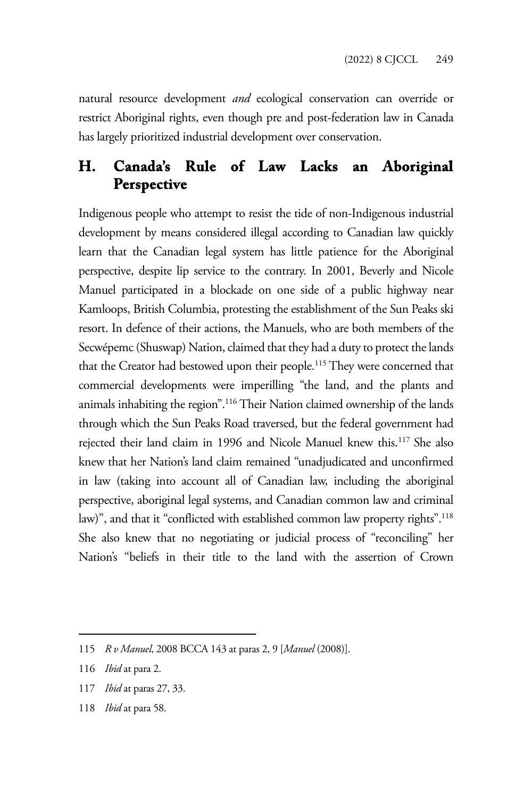natural resource development *and* ecological conservation can override or restrict Aboriginal rights, even though pre and post-federation law in Canada has largely prioritized industrial development over conservation.

## **H. Canada's Rule of Law Lacks an Aboriginal Perspective**

Indigenous people who attempt to resist the tide of non-Indigenous industrial development by means considered illegal according to Canadian law quickly learn that the Canadian legal system has little patience for the Aboriginal perspective, despite lip service to the contrary. In 2001, Beverly and Nicole Manuel participated in a blockade on one side of a public highway near Kamloops, British Columbia, protesting the establishment of the Sun Peaks ski resort. In defence of their actions, the Manuels, who are both members of the Secwépemc (Shuswap) Nation, claimed that they had a duty to protect the lands that the Creator had bestowed upon their people.<sup>115</sup> They were concerned that commercial developments were imperilling "the land, and the plants and animals inhabiting the region".116 Their Nation claimed ownership of the lands through which the Sun Peaks Road traversed, but the federal government had rejected their land claim in 1996 and Nicole Manuel knew this.<sup>117</sup> She also knew that her Nation's land claim remained "unadjudicated and unconfirmed in law (taking into account all of Canadian law, including the aboriginal perspective, aboriginal legal systems, and Canadian common law and criminal law)", and that it "conflicted with established common law property rights".<sup>118</sup> She also knew that no negotiating or judicial process of "reconciling" her Nation's "beliefs in their title to the land with the assertion of Crown

- 117 *Ibid* at paras 27, 33.
- 118 *Ibid* at para 58.

<sup>115</sup> *R v Manuel*, 2008 BCCA 143 at paras 2, 9 [*Manuel* (2008)].

<sup>116</sup> *Ibid* at para 2.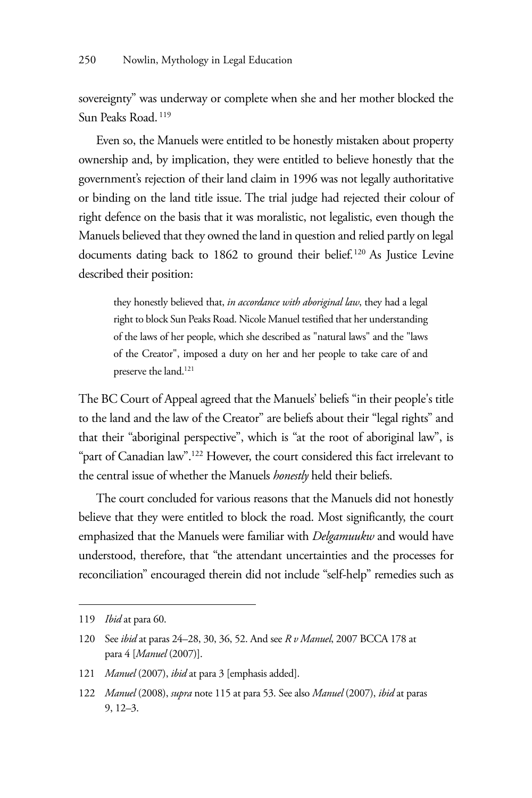sovereignty" was underway or complete when she and her mother blocked the Sun Peaks Road. 119

Even so, the Manuels were entitled to be honestly mistaken about property ownership and, by implication, they were entitled to believe honestly that the government's rejection of their land claim in 1996 was not legally authoritative or binding on the land title issue. The trial judge had rejected their colour of right defence on the basis that it was moralistic, not legalistic, even though the Manuels believed that they owned the land in question and relied partly on legal documents dating back to 1862 to ground their belief.<sup>120</sup> As Justice Levine described their position:

they honestly believed that, *in accordance with aboriginal law*, they had a legal right to block Sun Peaks Road. Nicole Manuel testified that her understanding of the laws of her people, which she described as "natural laws" and the "laws of the Creator", imposed a duty on her and her people to take care of and preserve the land.<sup>121</sup>

The BC Court of Appeal agreed that the Manuels' beliefs "in their people's title to the land and the law of the Creator" are beliefs about their "legal rights" and that their "aboriginal perspective", which is "at the root of aboriginal law", is "part of Canadian law".122 However, the court considered this fact irrelevant to the central issue of whether the Manuels *honestly* held their beliefs.

The court concluded for various reasons that the Manuels did not honestly believe that they were entitled to block the road. Most significantly, the court emphasized that the Manuels were familiar with *Delgamuukw* and would have understood, therefore, that "the attendant uncertainties and the processes for reconciliation" encouraged therein did not include "self-help" remedies such as

<sup>119</sup> *Ibid* at para 60.

<sup>120</sup> See *ibid* at paras 24–28, 30, 36, 52. And see *R v Manuel*, 2007 BCCA 178 at para 4 [*Manuel* (2007)].

<sup>121</sup> *Manuel* (2007), *ibid* at para 3 [emphasis added].

<sup>122</sup> *Manuel* (2008), *supra* note 115 at para 53. See also *Manuel* (2007), *ibid* at paras 9, 12–3.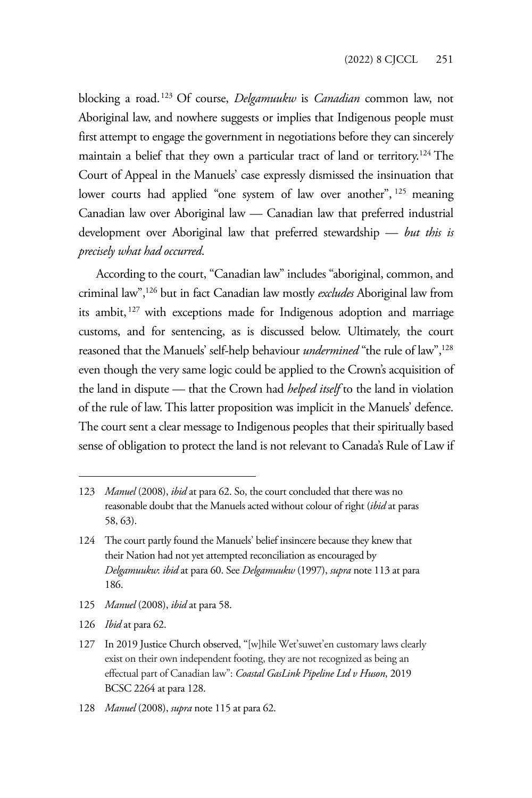blocking a road.123 Of course, *Delgamuukw* is *Canadian* common law, not Aboriginal law, and nowhere suggests or implies that Indigenous people must first attempt to engage the government in negotiations before they can sincerely maintain a belief that they own a particular tract of land or territory.<sup>124</sup> The Court of Appeal in the Manuels' case expressly dismissed the insinuation that lower courts had applied "one system of law over another", 125 meaning Canadian law over Aboriginal law — Canadian law that preferred industrial development over Aboriginal law that preferred stewardship — *but this is precisely what had occurred*.

According to the court, "Canadian law" includes "aboriginal, common, and criminal law",126 but in fact Canadian law mostly *excludes* Aboriginal law from its ambit, 127 with exceptions made for Indigenous adoption and marriage customs, and for sentencing, as is discussed below. Ultimately, the court reasoned that the Manuels' self-help behaviour *undermined* "the rule of law",<sup>128</sup> even though the very same logic could be applied to the Crown's acquisition of the land in dispute — that the Crown had *helped itself* to the land in violation of the rule of law. This latter proposition was implicit in the Manuels' defence. The court sent a clear message to Indigenous peoples that their spiritually based sense of obligation to protect the land is not relevant to Canada's Rule of Law if

- 125 *Manuel* (2008), *ibid* at para 58.
- 126 *Ibid* at para 62.

128 *Manuel* (2008), *supra* note 115 at para 62.

<sup>123</sup> *Manuel* (2008), *ibid* at para 62. So, the court concluded that there was no reasonable doubt that the Manuels acted without colour of right (*ibid* at paras 58, 63).

<sup>124</sup> The court partly found the Manuels' belief insincere because they knew that their Nation had not yet attempted reconciliation as encouraged by *Delgamuukw*: *ibid* at para 60. See *Delgamuukw* (1997), *supra* note 113 at para 186.

<sup>127</sup> In 2019 Justice Church observed, "[w]hile Wet'suwet'en customary laws clearly exist on their own independent footing, they are not recognized as being an effectual part of Canadian law": *Coastal GasLink Pipeline Ltd v Huson*, 2019 BCSC 2264 at para 128.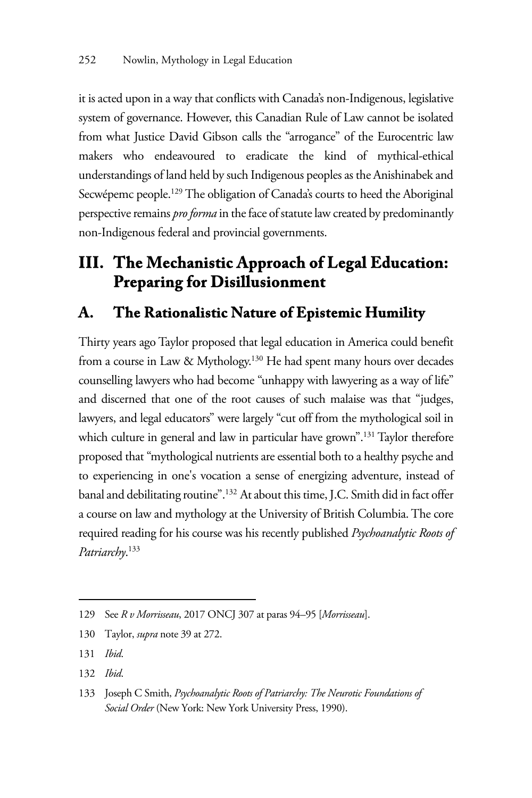it is acted upon in a way that conflicts with Canada's non-Indigenous, legislative system of governance. However, this Canadian Rule of Law cannot be isolated from what Justice David Gibson calls the "arrogance" of the Eurocentric law makers who endeavoured to eradicate the kind of mythical-ethical understandings of land held by such Indigenous peoples as the Anishinabek and Secwépemc people.<sup>129</sup> The obligation of Canada's courts to heed the Aboriginal perspective remains *pro forma* in the face of statute law created by predominantly non-Indigenous federal and provincial governments.

## **III. The Mechanistic Approach of Legal Education: Preparing for Disillusionment**

### **A. The Rationalistic Nature of Epistemic Humility**

Thirty years ago Taylor proposed that legal education in America could benefit from a course in Law & Mythology.130 He had spent many hours over decades counselling lawyers who had become "unhappy with lawyering as a way of life" and discerned that one of the root causes of such malaise was that "judges, lawyers, and legal educators" were largely "cut off from the mythological soil in which culture in general and law in particular have grown".<sup>131</sup> Taylor therefore proposed that "mythological nutrients are essential both to a healthy psyche and to experiencing in one's vocation a sense of energizing adventure, instead of banal and debilitating routine".132 At about this time, J.C. Smith did in fact offer a course on law and mythology at the University of British Columbia. The core required reading for his course was his recently published *Psychoanalytic Roots of Patriarchy*. 133

132 *Ibid*.

<sup>129</sup> See *R v Morrisseau*, 2017 ONCJ 307 at paras 94–95 [*Morrisseau*].

<sup>130</sup> Taylor, *supra* note 39 at 272.

<sup>131</sup> *Ibid*.

<sup>133</sup> Joseph C Smith, *Psychoanalytic Roots of Patriarchy: The Neurotic Foundations of Social Order* (New York: New York University Press, 1990).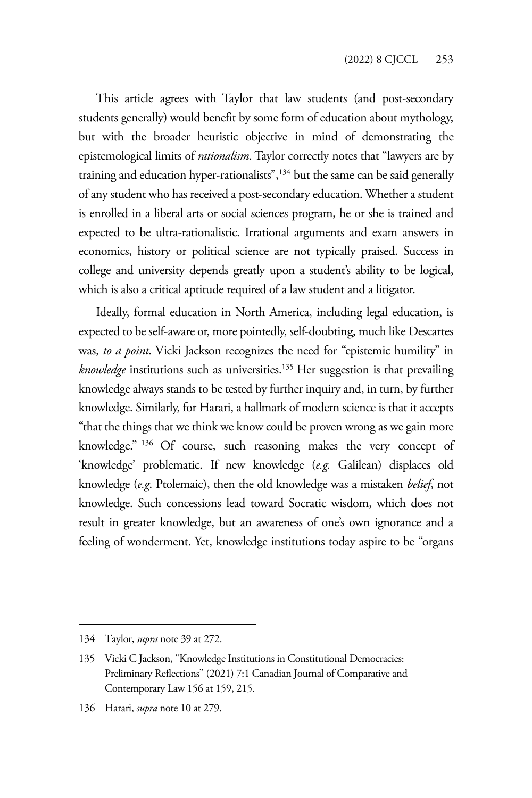This article agrees with Taylor that law students (and post-secondary students generally) would benefit by some form of education about mythology, but with the broader heuristic objective in mind of demonstrating the epistemological limits of *rationalism*. Taylor correctly notes that "lawyers are by training and education hyper-rationalists", $134$  but the same can be said generally of any student who has received a post-secondary education. Whether a student is enrolled in a liberal arts or social sciences program, he or she is trained and expected to be ultra-rationalistic. Irrational arguments and exam answers in economics, history or political science are not typically praised. Success in college and university depends greatly upon a student's ability to be logical, which is also a critical aptitude required of a law student and a litigator.

Ideally, formal education in North America, including legal education, is expected to be self-aware or, more pointedly, self-doubting, much like Descartes was, *to a point*. Vicki Jackson recognizes the need for "epistemic humility" in *knowledge* institutions such as universities.135 Her suggestion is that prevailing knowledge always stands to be tested by further inquiry and, in turn, by further knowledge. Similarly, for Harari, a hallmark of modern science is that it accepts "that the things that we think we know could be proven wrong as we gain more knowledge." 136 Of course, such reasoning makes the very concept of 'knowledge' problematic. If new knowledge (*e.g.* Galilean) displaces old knowledge (*e.g*. Ptolemaic), then the old knowledge was a mistaken *belief*, not knowledge. Such concessions lead toward Socratic wisdom, which does not result in greater knowledge, but an awareness of one's own ignorance and a feeling of wonderment. Yet, knowledge institutions today aspire to be "organs

<sup>134</sup> Taylor, *supra* note 39 at 272.

<sup>135</sup> Vicki C Jackson, "Knowledge Institutions in Constitutional Democracies: Preliminary Reflections" (2021) 7:1 Canadian Journal of Comparative and Contemporary Law 156 at 159, 215.

<sup>136</sup> Harari, *supra* note 10 at 279.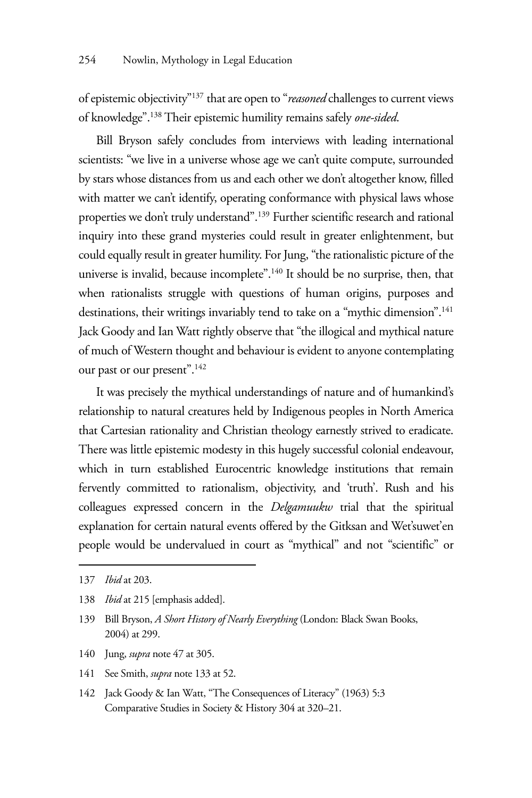of epistemic objectivity"137 that are open to "*reasoned* challenges to current views of knowledge".138 Their epistemic humility remains safely *one-sided*.

Bill Bryson safely concludes from interviews with leading international scientists: "we live in a universe whose age we can't quite compute, surrounded by stars whose distances from us and each other we don't altogether know, filled with matter we can't identify, operating conformance with physical laws whose properties we don't truly understand".139 Further scientific research and rational inquiry into these grand mysteries could result in greater enlightenment, but could equally result in greater humility. For Jung, "the rationalistic picture of the universe is invalid, because incomplete".140 It should be no surprise, then, that when rationalists struggle with questions of human origins, purposes and destinations, their writings invariably tend to take on a "mythic dimension".<sup>141</sup> Jack Goody and Ian Watt rightly observe that "the illogical and mythical nature of much of Western thought and behaviour is evident to anyone contemplating our past or our present".142

It was precisely the mythical understandings of nature and of humankind's relationship to natural creatures held by Indigenous peoples in North America that Cartesian rationality and Christian theology earnestly strived to eradicate. There was little epistemic modesty in this hugely successful colonial endeavour, which in turn established Eurocentric knowledge institutions that remain fervently committed to rationalism, objectivity, and 'truth'. Rush and his colleagues expressed concern in the *Delgamuukw* trial that the spiritual explanation for certain natural events offered by the Gitksan and Wet'suwet'en people would be undervalued in court as "mythical" and not "scientific" or

- 140 Jung, *supra* note 47 at 305.
- 141 See Smith, *supra* note 133 at 52.
- 142 Jack Goody & Ian Watt, "The Consequences of Literacy" (1963) 5:3 Comparative Studies in Society & History 304 at 320–21.

<sup>137</sup> *Ibid* at 203.

<sup>138</sup> *Ibid* at 215 [emphasis added].

<sup>139</sup> Bill Bryson, *A Short History of Nearly Everything* (London: Black Swan Books, 2004) at 299.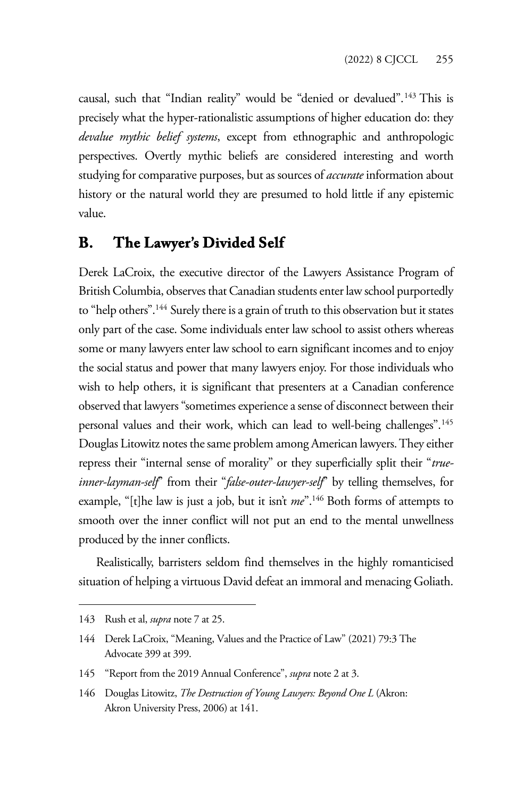causal, such that "Indian reality" would be "denied or devalued".143 This is precisely what the hyper-rationalistic assumptions of higher education do: they *devalue mythic belief systems*, except from ethnographic and anthropologic perspectives. Overtly mythic beliefs are considered interesting and worth studying for comparative purposes, but as sources of *accurate* information about history or the natural world they are presumed to hold little if any epistemic value.

#### **B. The Lawyer's Divided Self**

Derek LaCroix, the executive director of the Lawyers Assistance Program of British Columbia, observes that Canadian students enter law school purportedly to "help others".<sup>144</sup> Surely there is a grain of truth to this observation but it states only part of the case. Some individuals enter law school to assist others whereas some or many lawyers enter law school to earn significant incomes and to enjoy the social status and power that many lawyers enjoy. For those individuals who wish to help others, it is significant that presenters at a Canadian conference observed that lawyers "sometimes experience a sense of disconnect between their personal values and their work, which can lead to well-being challenges".<sup>145</sup> Douglas Litowitz notes the same problem among American lawyers. They either repress their "internal sense of morality" or they superficially split their "*trueinner-layman-self*" from their "*false-outer-lawyer-self*" by telling themselves, for example, "[t]he law is just a job, but it isn't *me*".146 Both forms of attempts to smooth over the inner conflict will not put an end to the mental unwellness produced by the inner conflicts.

Realistically, barristers seldom find themselves in the highly romanticised situation of helping a virtuous David defeat an immoral and menacing Goliath.

<sup>143</sup> Rush et al, *supra* note 7 at 25.

<sup>144</sup> Derek LaCroix, "Meaning, Values and the Practice of Law" (2021) 79:3 The Advocate 399 at 399.

<sup>145 &</sup>quot;Report from the 2019 Annual Conference", *supra* note 2 at 3.

<sup>146</sup> Douglas Litowitz, *The Destruction of Young Lawyers: Beyond One L* (Akron: Akron University Press, 2006) at 141.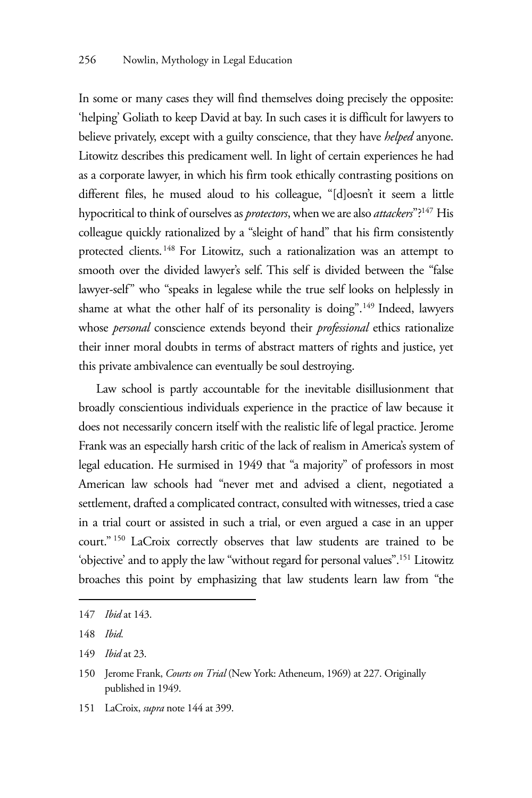In some or many cases they will find themselves doing precisely the opposite: 'helping' Goliath to keep David at bay. In such cases it is difficult for lawyers to believe privately, except with a guilty conscience, that they have *helped* anyone. Litowitz describes this predicament well. In light of certain experiences he had as a corporate lawyer, in which his firm took ethically contrasting positions on different files, he mused aloud to his colleague, "[d]oesn't it seem a little hypocritical to think of ourselves as *protectors*, when we are also *attackers*"?147 His colleague quickly rationalized by a "sleight of hand" that his firm consistently protected clients.148 For Litowitz, such a rationalization was an attempt to smooth over the divided lawyer's self. This self is divided between the "false lawyer-self" who "speaks in legalese while the true self looks on helplessly in shame at what the other half of its personality is doing".149 Indeed, lawyers whose *personal* conscience extends beyond their *professional* ethics rationalize their inner moral doubts in terms of abstract matters of rights and justice, yet this private ambivalence can eventually be soul destroying.

Law school is partly accountable for the inevitable disillusionment that broadly conscientious individuals experience in the practice of law because it does not necessarily concern itself with the realistic life of legal practice. Jerome Frank was an especially harsh critic of the lack of realism in America's system of legal education. He surmised in 1949 that "a majority" of professors in most American law schools had "never met and advised a client, negotiated a settlement, drafted a complicated contract, consulted with witnesses, tried a case in a trial court or assisted in such a trial, or even argued a case in an upper court." 150 LaCroix correctly observes that law students are trained to be 'objective' and to apply the law "without regard for personal values".151 Litowitz broaches this point by emphasizing that law students learn law from "the

151 LaCroix, *supra* note 144 at 399.

<sup>147</sup> *Ibid* at 143.

<sup>148</sup> *Ibid.*

<sup>149</sup> *Ibid* at 23.

<sup>150</sup> Jerome Frank, *Courts on Trial* (New York: Atheneum, 1969) at 227. Originally published in 1949.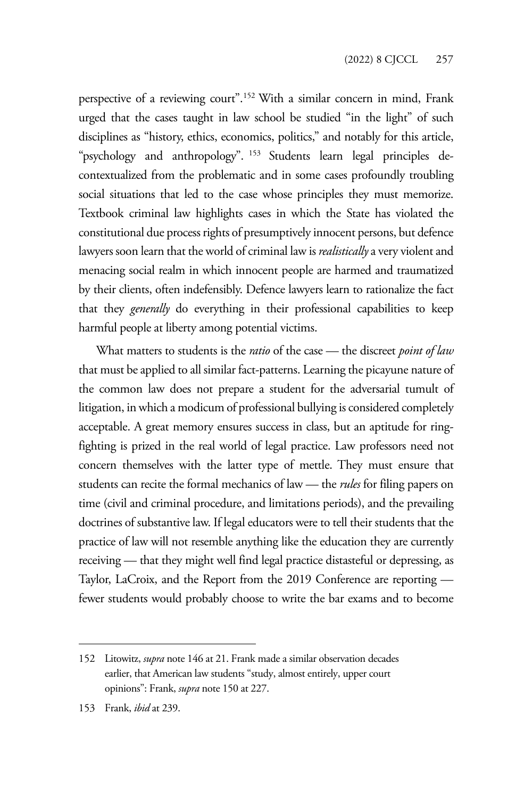perspective of a reviewing court".152 With a similar concern in mind, Frank urged that the cases taught in law school be studied "in the light" of such disciplines as "history, ethics, economics, politics," and notably for this article, "psychology and anthropology". 153 Students learn legal principles decontextualized from the problematic and in some cases profoundly troubling social situations that led to the case whose principles they must memorize. Textbook criminal law highlights cases in which the State has violated the constitutional due process rights of presumptively innocent persons, but defence lawyers soon learn that the world of criminal law is *realistically* a very violent and menacing social realm in which innocent people are harmed and traumatized by their clients, often indefensibly. Defence lawyers learn to rationalize the fact that they *generally* do everything in their professional capabilities to keep harmful people at liberty among potential victims.

What matters to students is the *ratio* of the case — the discreet *point of law* that must be applied to all similar fact-patterns. Learning the picayune nature of the common law does not prepare a student for the adversarial tumult of litigation, in which a modicum of professional bullying is considered completely acceptable. A great memory ensures success in class, but an aptitude for ringfighting is prized in the real world of legal practice. Law professors need not concern themselves with the latter type of mettle. They must ensure that students can recite the formal mechanics of law — the *rules* for filing papers on time (civil and criminal procedure, and limitations periods), and the prevailing doctrines of substantive law. If legal educators were to tell their students that the practice of law will not resemble anything like the education they are currently receiving — that they might well find legal practice distasteful or depressing, as Taylor, LaCroix, and the Report from the 2019 Conference are reporting fewer students would probably choose to write the bar exams and to become

<sup>152</sup> Litowitz, *supra* note 146 at 21. Frank made a similar observation decades earlier, that American law students "study, almost entirely, upper court opinions": Frank, *supra* note 150 at 227.

<sup>153</sup> Frank, *ibid* at 239.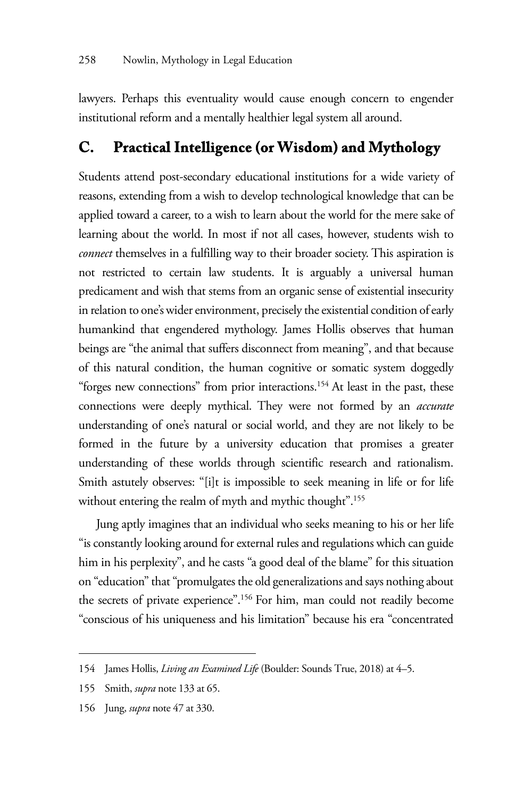lawyers. Perhaps this eventuality would cause enough concern to engender institutional reform and a mentally healthier legal system all around.

#### **C. Practical Intelligence (or Wisdom) and Mythology**

Students attend post-secondary educational institutions for a wide variety of reasons, extending from a wish to develop technological knowledge that can be applied toward a career, to a wish to learn about the world for the mere sake of learning about the world. In most if not all cases, however, students wish to *connect* themselves in a fulfilling way to their broader society. This aspiration is not restricted to certain law students. It is arguably a universal human predicament and wish that stems from an organic sense of existential insecurity in relation to one's wider environment, precisely the existential condition of early humankind that engendered mythology. James Hollis observes that human beings are "the animal that suffers disconnect from meaning", and that because of this natural condition, the human cognitive or somatic system doggedly "forges new connections" from prior interactions.<sup>154</sup> At least in the past, these connections were deeply mythical. They were not formed by an *accurate* understanding of one's natural or social world, and they are not likely to be formed in the future by a university education that promises a greater understanding of these worlds through scientific research and rationalism. Smith astutely observes: "[i]t is impossible to seek meaning in life or for life without entering the realm of myth and mythic thought".<sup>155</sup>

Jung aptly imagines that an individual who seeks meaning to his or her life "is constantly looking around for external rules and regulations which can guide him in his perplexity", and he casts "a good deal of the blame" for this situation on "education" that "promulgates the old generalizations and says nothing about the secrets of private experience".156 For him, man could not readily become "conscious of his uniqueness and his limitation" because his era "concentrated

<sup>154</sup> James Hollis, *Living an Examined Life* (Boulder: Sounds True, 2018) at 4–5.

<sup>155</sup> Smith, *supra* note 133 at 65.

<sup>156</sup> Jung, *supra* note 47 at 330.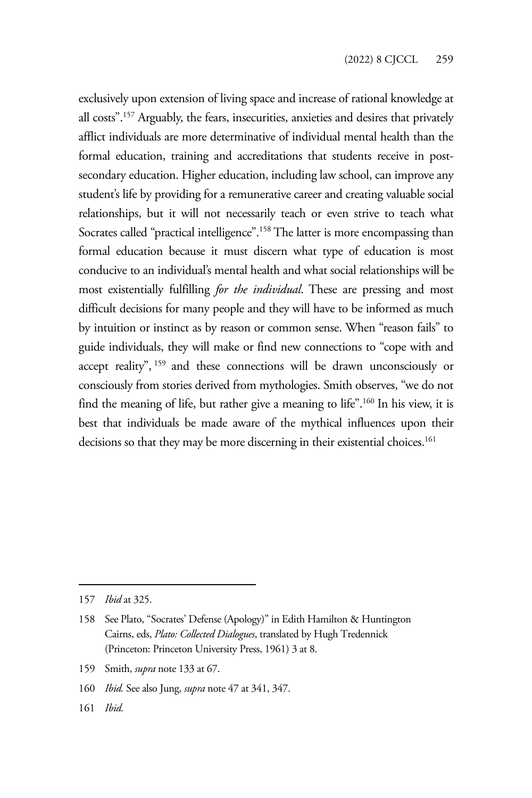exclusively upon extension of living space and increase of rational knowledge at all costs".157 Arguably, the fears, insecurities, anxieties and desires that privately afflict individuals are more determinative of individual mental health than the formal education, training and accreditations that students receive in postsecondary education. Higher education, including law school, can improve any student's life by providing for a remunerative career and creating valuable social relationships, but it will not necessarily teach or even strive to teach what Socrates called "practical intelligence".<sup>158</sup> The latter is more encompassing than formal education because it must discern what type of education is most conducive to an individual's mental health and what social relationships will be most existentially fulfilling *for the individual*. These are pressing and most difficult decisions for many people and they will have to be informed as much by intuition or instinct as by reason or common sense. When "reason fails" to guide individuals, they will make or find new connections to "cope with and accept reality", 159 and these connections will be drawn unconsciously or consciously from stories derived from mythologies. Smith observes, "we do not find the meaning of life, but rather give a meaning to life".160 In his view, it is best that individuals be made aware of the mythical influences upon their decisions so that they may be more discerning in their existential choices.<sup>161</sup>

161 *Ibid.*

<sup>157</sup> *Ibid* at 325.

<sup>158</sup> See Plato, "Socrates' Defense (Apology)" in Edith Hamilton & Huntington Cairns, eds, *Plato: Collected Dialogues*, translated by Hugh Tredennick (Princeton: Princeton University Press, 1961) 3 at 8.

<sup>159</sup> Smith, *supra* note 133 at 67.

<sup>160</sup> *Ibid.* See also Jung, *supra* note 47 at 341, 347.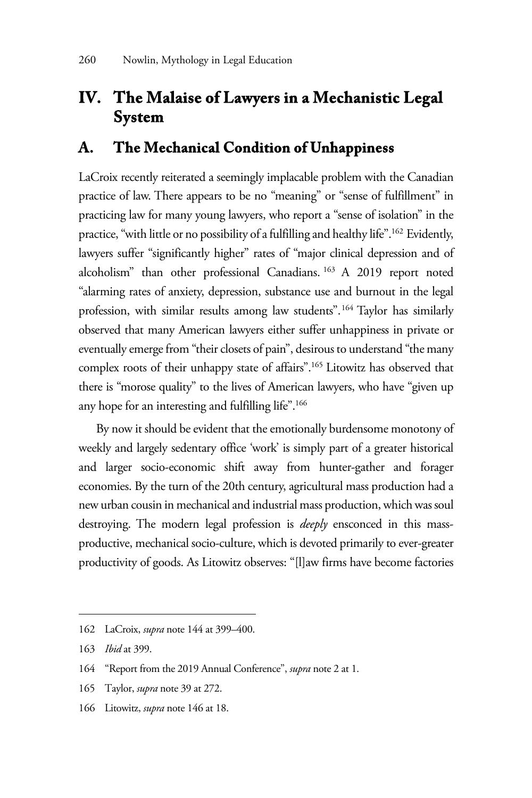# **IV. The Malaise of Lawyers in a Mechanistic Legal System**

#### **A. The Mechanical Condition of Unhappiness**

LaCroix recently reiterated a seemingly implacable problem with the Canadian practice of law. There appears to be no "meaning" or "sense of fulfillment" in practicing law for many young lawyers, who report a "sense of isolation" in the practice, "with little or no possibility of a fulfilling and healthy life".162 Evidently, lawyers suffer "significantly higher" rates of "major clinical depression and of alcoholism" than other professional Canadians. 163 A 2019 report noted "alarming rates of anxiety, depression, substance use and burnout in the legal profession, with similar results among law students".<sup>164</sup> Taylor has similarly observed that many American lawyers either suffer unhappiness in private or eventually emerge from "their closets of pain", desirous to understand "the many complex roots of their unhappy state of affairs".165 Litowitz has observed that there is "morose quality" to the lives of American lawyers, who have "given up any hope for an interesting and fulfilling life".166

By now it should be evident that the emotionally burdensome monotony of weekly and largely sedentary office 'work' is simply part of a greater historical and larger socio-economic shift away from hunter-gather and forager economies. By the turn of the 20th century, agricultural mass production had a new urban cousin in mechanical and industrial mass production, which was soul destroying. The modern legal profession is *deeply* ensconced in this massproductive, mechanical socio-culture, which is devoted primarily to ever-greater productivity of goods. As Litowitz observes: "[l]aw firms have become factories

- 165 Taylor, *supra* note 39 at 272.
- 166 Litowitz, *supra* note 146 at 18.

<sup>162</sup> LaCroix, *supra* note 144 at 399–400.

<sup>163</sup> *Ibid* at 399.

<sup>164 &</sup>quot;Report from the 2019 Annual Conference", *supra* note 2 at 1.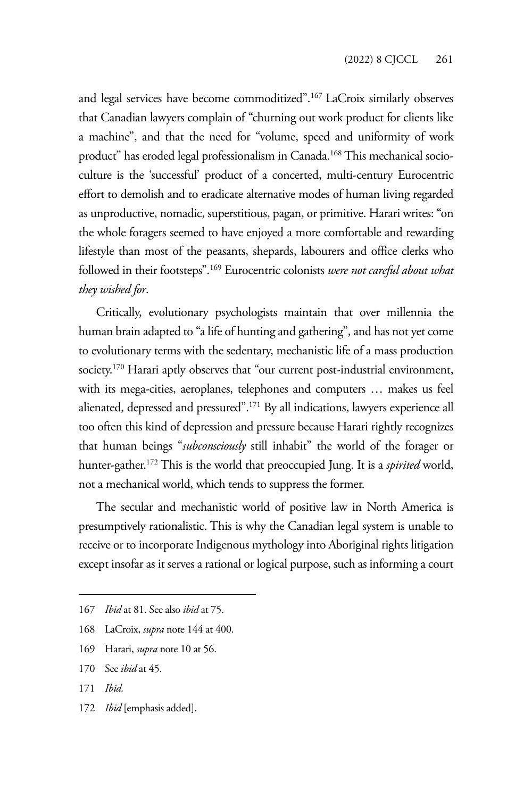and legal services have become commoditized".167 LaCroix similarly observes that Canadian lawyers complain of "churning out work product for clients like a machine", and that the need for "volume, speed and uniformity of work product" has eroded legal professionalism in Canada.<sup>168</sup> This mechanical socioculture is the 'successful' product of a concerted, multi-century Eurocentric effort to demolish and to eradicate alternative modes of human living regarded as unproductive, nomadic, superstitious, pagan, or primitive. Harari writes: "on the whole foragers seemed to have enjoyed a more comfortable and rewarding lifestyle than most of the peasants, shepards, labourers and office clerks who followed in their footsteps".169 Eurocentric colonists *were not careful about what they wished for*.

Critically, evolutionary psychologists maintain that over millennia the human brain adapted to "a life of hunting and gathering", and has not yet come to evolutionary terms with the sedentary, mechanistic life of a mass production society.<sup>170</sup> Harari aptly observes that "our current post-industrial environment, with its mega-cities, aeroplanes, telephones and computers … makes us feel alienated, depressed and pressured".171 By all indications, lawyers experience all too often this kind of depression and pressure because Harari rightly recognizes that human beings "*subconsciously* still inhabit" the world of the forager or hunter-gather.172 This is the world that preoccupied Jung. It is a *spirited* world, not a mechanical world, which tends to suppress the former.

The secular and mechanistic world of positive law in North America is presumptively rationalistic. This is why the Canadian legal system is unable to receive or to incorporate Indigenous mythology into Aboriginal rights litigation except insofar as it serves a rational or logical purpose, such as informing a court

- 168 LaCroix, *supra* note 144 at 400.
- 169 Harari, *supra* note 10 at 56.
- 170 See *ibid* at 45.
- 171 *Ibid.*
- 172 *Ibid* [emphasis added].

<sup>167</sup> *Ibid* at 81. See also *ibid* at 75.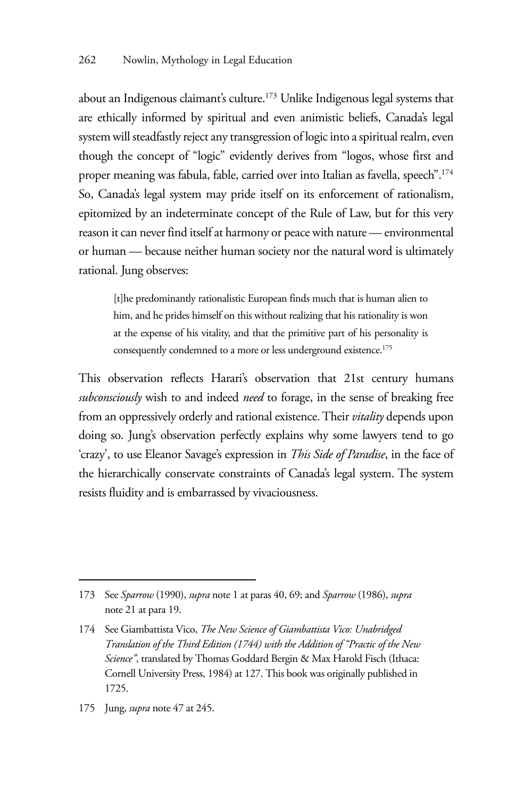about an Indigenous claimant's culture.173 Unlike Indigenous legal systems that are ethically informed by spiritual and even animistic beliefs, Canada's legal system will steadfastly reject any transgression of logic into a spiritual realm, even though the concept of "logic" evidently derives from "logos, whose first and proper meaning was fabula, fable, carried over into Italian as favella, speech".174 So, Canada's legal system may pride itself on its enforcement of rationalism, epitomized by an indeterminate concept of the Rule of Law, but for this very reason it can never find itself at harmony or peace with nature — environmental or human — because neither human society nor the natural word is ultimately rational. Jung observes:

[t]he predominantly rationalistic European finds much that is human alien to him, and he prides himself on this without realizing that his rationality is won at the expense of his vitality, and that the primitive part of his personality is consequently condemned to a more or less underground existence.<sup>175</sup>

This observation reflects Harari's observation that 21st century humans *subconsciously* wish to and indeed *need* to forage, in the sense of breaking free from an oppressively orderly and rational existence. Their *vitality* depends upon doing so. Jung's observation perfectly explains why some lawyers tend to go 'crazy', to use Eleanor Savage's expression in *This Side of Paradise*, in the face of the hierarchically conservate constraints of Canada's legal system. The system resists fluidity and is embarrassed by vivaciousness.

<sup>173</sup> See *Sparrow* (1990), *supra* note 1 at paras 40, 69; and *Sparrow* (1986), *supra* note 21 at para 19.

<sup>174</sup> See Giambattista Vico, *The New Science of Giambattista Vico: Unabridged Translation of the Third Edition (1744) with the Addition of "Practic of the New Science"*, translated by Thomas Goddard Bergin & Max Harold Fisch (Ithaca: Cornell University Press, 1984) at 127. This book was originally published in 1725.

<sup>175</sup> Jung, *supra* note 47 at 245.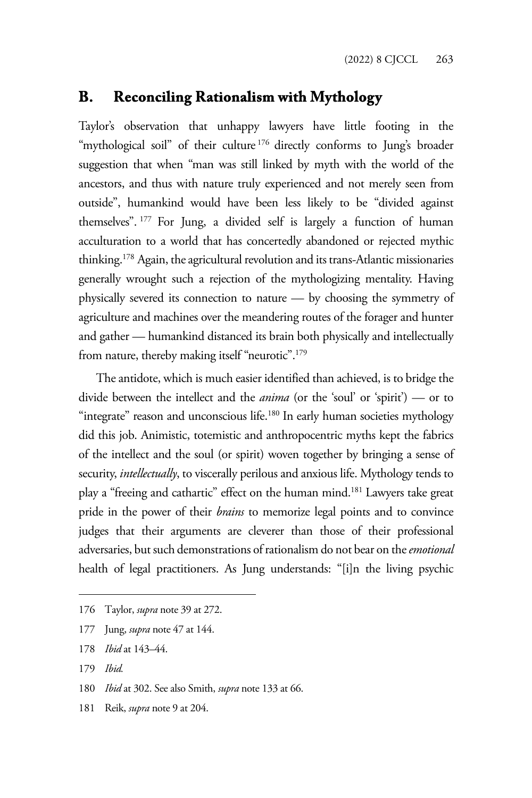#### **B. Reconciling Rationalism with Mythology**

Taylor's observation that unhappy lawyers have little footing in the "mythological soil" of their culture<sup>176</sup> directly conforms to Jung's broader suggestion that when "man was still linked by myth with the world of the ancestors, and thus with nature truly experienced and not merely seen from outside", humankind would have been less likely to be "divided against themselves". 177 For Jung, a divided self is largely a function of human acculturation to a world that has concertedly abandoned or rejected mythic thinking.178 Again, the agricultural revolution and its trans-Atlantic missionaries generally wrought such a rejection of the mythologizing mentality. Having physically severed its connection to nature — by choosing the symmetry of agriculture and machines over the meandering routes of the forager and hunter and gather — humankind distanced its brain both physically and intellectually from nature, thereby making itself "neurotic".179

The antidote, which is much easier identified than achieved, is to bridge the divide between the intellect and the *anima* (or the 'soul' or 'spirit') — or to "integrate" reason and unconscious life.<sup>180</sup> In early human societies mythology did this job. Animistic, totemistic and anthropocentric myths kept the fabrics of the intellect and the soul (or spirit) woven together by bringing a sense of security, *intellectually*, to viscerally perilous and anxious life. Mythology tends to play a "freeing and cathartic" effect on the human mind.<sup>181</sup> Lawyers take great pride in the power of their *brains* to memorize legal points and to convince judges that their arguments are cleverer than those of their professional adversaries, but such demonstrations of rationalism do not bear on the *emotional* health of legal practitioners. As Jung understands: "[i]n the living psychic

181 Reik, *supra* note 9 at 204.

<sup>176</sup> Taylor, *supra* note 39 at 272.

<sup>177</sup> Jung, *supra* note 47 at 144.

<sup>178</sup> *Ibid* at 143–44.

<sup>179</sup> *Ibid.* 

<sup>180</sup> *Ibid* at 302. See also Smith, *supra* note 133 at 66.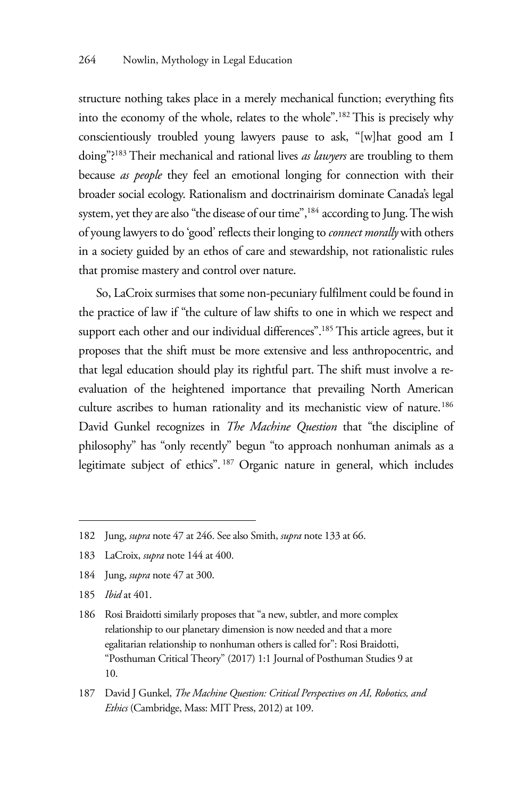structure nothing takes place in a merely mechanical function; everything fits into the economy of the whole, relates to the whole".182 This is precisely why conscientiously troubled young lawyers pause to ask, "[w]hat good am I doing"?183 Their mechanical and rational lives *as lawyers* are troubling to them because *as people* they feel an emotional longing for connection with their broader social ecology. Rationalism and doctrinairism dominate Canada's legal system, yet they are also "the disease of our time",<sup>184</sup> according to Jung. The wish of young lawyers to do 'good' reflects their longing to *connect morally* with others in a society guided by an ethos of care and stewardship, not rationalistic rules that promise mastery and control over nature.

So, LaCroix surmises that some non-pecuniary fulfilment could be found in the practice of law if "the culture of law shifts to one in which we respect and support each other and our individual differences".<sup>185</sup> This article agrees, but it proposes that the shift must be more extensive and less anthropocentric, and that legal education should play its rightful part. The shift must involve a reevaluation of the heightened importance that prevailing North American culture ascribes to human rationality and its mechanistic view of nature.<sup>186</sup> David Gunkel recognizes in *The Machine Question* that "the discipline of philosophy" has "only recently" begun "to approach nonhuman animals as a legitimate subject of ethics". 187 Organic nature in general, which includes

<sup>182</sup> Jung, *supra* note 47 at 246. See also Smith, *supra* note 133 at 66.

<sup>183</sup> LaCroix, *supra* note 144 at 400.

<sup>184</sup> Jung, *supra* note 47 at 300.

<sup>185</sup> *Ibid* at 401.

<sup>186</sup> Rosi Braidotti similarly proposes that "a new, subtler, and more complex relationship to our planetary dimension is now needed and that a more egalitarian relationship to nonhuman others is called for": Rosi Braidotti, "Posthuman Critical Theory" (2017) 1:1 Journal of Posthuman Studies 9 at 10.

<sup>187</sup> David J Gunkel, *The Machine Question: Critical Perspectives on AI, Robotics, and Ethics* (Cambridge, Mass: MIT Press, 2012) at 109.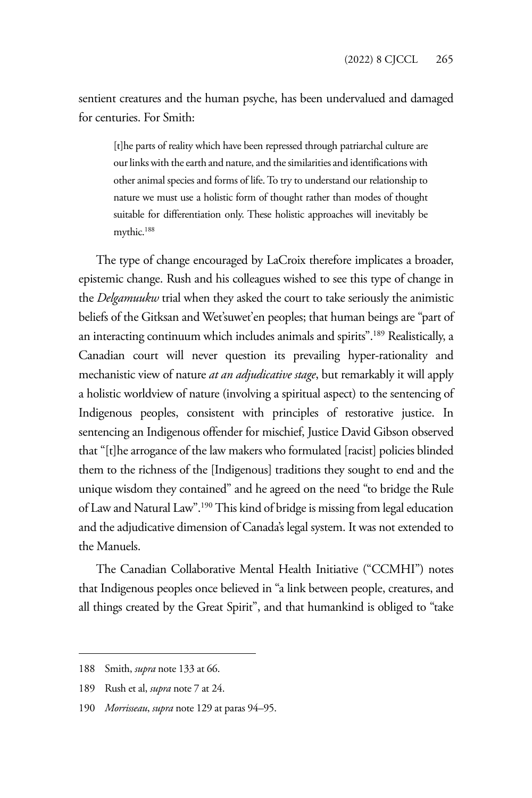sentient creatures and the human psyche, has been undervalued and damaged for centuries. For Smith:

[t]he parts of reality which have been repressed through patriarchal culture are our links with the earth and nature, and the similarities and identifications with other animal species and forms of life. To try to understand our relationship to nature we must use a holistic form of thought rather than modes of thought suitable for differentiation only. These holistic approaches will inevitably be mythic.188

The type of change encouraged by LaCroix therefore implicates a broader, epistemic change. Rush and his colleagues wished to see this type of change in the *Delgamuukw* trial when they asked the court to take seriously the animistic beliefs of the Gitksan and Wet'suwet'en peoples; that human beings are "part of an interacting continuum which includes animals and spirits".189 Realistically, a Canadian court will never question its prevailing hyper-rationality and mechanistic view of nature *at an adjudicative stage*, but remarkably it will apply a holistic worldview of nature (involving a spiritual aspect) to the sentencing of Indigenous peoples, consistent with principles of restorative justice. In sentencing an Indigenous offender for mischief, Justice David Gibson observed that "[t]he arrogance of the law makers who formulated [racist] policies blinded them to the richness of the [Indigenous] traditions they sought to end and the unique wisdom they contained" and he agreed on the need "to bridge the Rule of Law and Natural Law".190 This kind of bridge is missing from legal education and the adjudicative dimension of Canada's legal system. It was not extended to the Manuels.

The Canadian Collaborative Mental Health Initiative ("CCMHI") notes that Indigenous peoples once believed in "a link between people, creatures, and all things created by the Great Spirit", and that humankind is obliged to "take

<sup>188</sup> Smith, *supra* note 133 at 66.

<sup>189</sup> Rush et al, *supra* note 7 at 24.

<sup>190</sup> *Morrisseau*, *supra* note 129 at paras 94–95.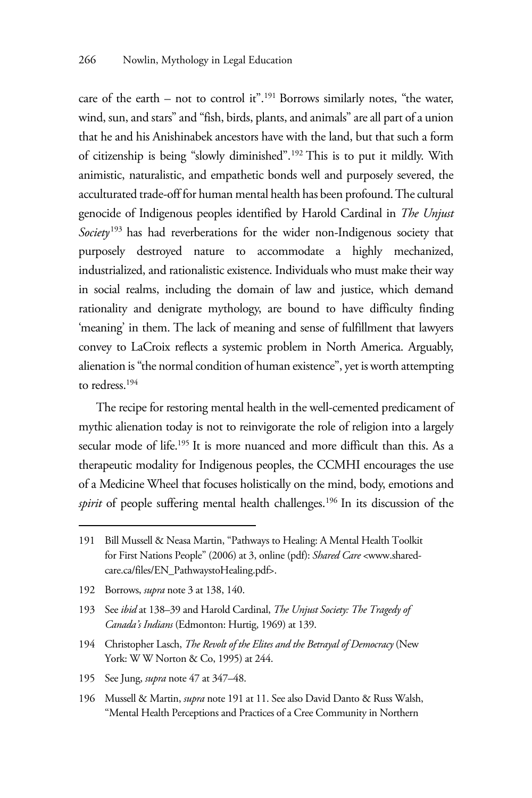care of the earth – not to control it".191 Borrows similarly notes, "the water, wind, sun, and stars" and "fish, birds, plants, and animals" are all part of a union that he and his Anishinabek ancestors have with the land, but that such a form of citizenship is being "slowly diminished".192 This is to put it mildly. With animistic, naturalistic, and empathetic bonds well and purposely severed, the acculturated trade-off for human mental health has been profound. The cultural genocide of Indigenous peoples identified by Harold Cardinal in *The Unjust Society*<sup>193</sup> has had reverberations for the wider non-Indigenous society that purposely destroyed nature to accommodate a highly mechanized, industrialized, and rationalistic existence. Individuals who must make their way in social realms, including the domain of law and justice, which demand rationality and denigrate mythology, are bound to have difficulty finding 'meaning' in them. The lack of meaning and sense of fulfillment that lawyers convey to LaCroix reflects a systemic problem in North America. Arguably, alienation is "the normal condition of human existence", yet is worth attempting to redress.194

The recipe for restoring mental health in the well-cemented predicament of mythic alienation today is not to reinvigorate the role of religion into a largely secular mode of life.195 It is more nuanced and more difficult than this. As a therapeutic modality for Indigenous peoples, the CCMHI encourages the use of a Medicine Wheel that focuses holistically on the mind, body, emotions and *spirit* of people suffering mental health challenges.<sup>196</sup> In its discussion of the

- 194 Christopher Lasch, *The Revolt of the Elites and the Betrayal of Democracy* (New York: W W Norton & Co, 1995) at 244.
- 195 See Jung, *supra* note 47 at 347–48.
- 196 Mussell & Martin, *supra* note 191 at 11. See also David Danto & Russ Walsh, "Mental Health Perceptions and Practices of a Cree Community in Northern

<sup>191</sup> Bill Mussell & Neasa Martin, "Pathways to Healing: A Mental Health Toolkit for First Nations People" (2006) at 3, online (pdf): *Shared Care* <www.sharedcare.ca/files/EN\_PathwaystoHealing.pdf>.

<sup>192</sup> Borrows, *supra* note 3 at 138, 140.

<sup>193</sup> See *ibid* at 138–39 and Harold Cardinal, *The Unjust Society: The Tragedy of Canada's Indians* (Edmonton: Hurtig, 1969) at 139.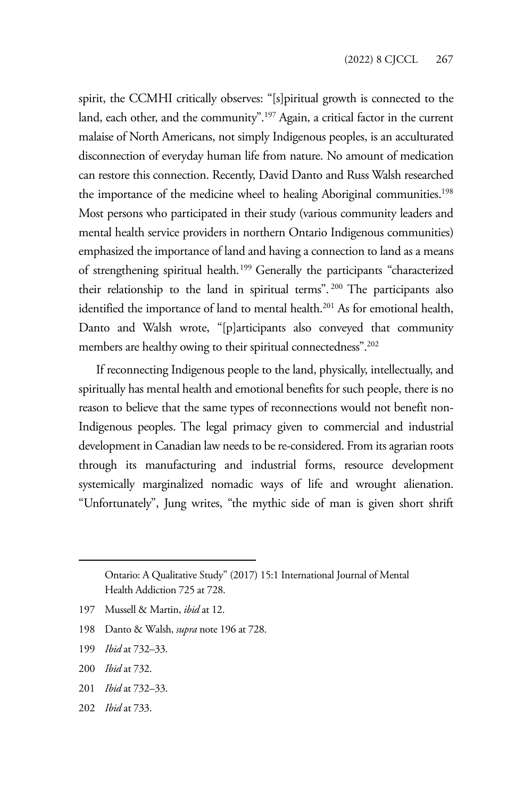spirit, the CCMHI critically observes: "[s]piritual growth is connected to the land, each other, and the community".<sup>197</sup> Again, a critical factor in the current malaise of North Americans, not simply Indigenous peoples, is an acculturated disconnection of everyday human life from nature. No amount of medication can restore this connection. Recently, David Danto and Russ Walsh researched the importance of the medicine wheel to healing Aboriginal communities.<sup>198</sup> Most persons who participated in their study (various community leaders and mental health service providers in northern Ontario Indigenous communities) emphasized the importance of land and having a connection to land as a means of strengthening spiritual health.<sup>199</sup> Generally the participants "characterized their relationship to the land in spiritual terms". 200 The participants also identified the importance of land to mental health.<sup>201</sup> As for emotional health, Danto and Walsh wrote, "[p]articipants also conveyed that community members are healthy owing to their spiritual connectedness".<sup>202</sup>

If reconnecting Indigenous people to the land, physically, intellectually, and spiritually has mental health and emotional benefits for such people, there is no reason to believe that the same types of reconnections would not benefit non-Indigenous peoples. The legal primacy given to commercial and industrial development in Canadian law needs to be re-considered. From its agrarian roots through its manufacturing and industrial forms, resource development systemically marginalized nomadic ways of life and wrought alienation. "Unfortunately", Jung writes, "the mythic side of man is given short shrift

- 198 Danto & Walsh, *supra* note 196 at 728.
- 199 *Ibid* at 732–33.
- 200 *Ibid* at 732.
- 201 *Ibid* at 732–33.
- 202 *Ibid* at 733.

Ontario: A Qualitative Study" (2017) 15:1 International Journal of Mental Health Addiction 725 at 728.

<sup>197</sup> Mussell & Martin, *ibid* at 12.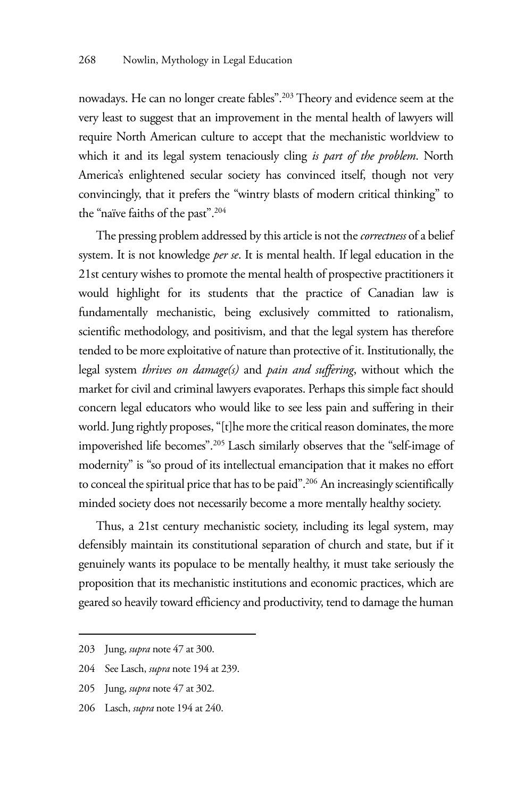nowadays. He can no longer create fables".203 Theory and evidence seem at the very least to suggest that an improvement in the mental health of lawyers will require North American culture to accept that the mechanistic worldview to which it and its legal system tenaciously cling *is part of the problem*. North America's enlightened secular society has convinced itself, though not very convincingly, that it prefers the "wintry blasts of modern critical thinking" to the "naïve faiths of the past".204

The pressing problem addressed by this article is not the *correctness* of a belief system. It is not knowledge *per se*. It is mental health. If legal education in the 21st century wishes to promote the mental health of prospective practitioners it would highlight for its students that the practice of Canadian law is fundamentally mechanistic, being exclusively committed to rationalism, scientific methodology, and positivism, and that the legal system has therefore tended to be more exploitative of nature than protective of it. Institutionally, the legal system *thrives on damage(s)* and *pain and suffering*, without which the market for civil and criminal lawyers evaporates. Perhaps this simple fact should concern legal educators who would like to see less pain and suffering in their world. Jung rightly proposes, "[t]he more the critical reason dominates, the more impoverished life becomes".205 Lasch similarly observes that the "self-image of modernity" is "so proud of its intellectual emancipation that it makes no effort to conceal the spiritual price that has to be paid".206 An increasingly scientifically minded society does not necessarily become a more mentally healthy society.

Thus, a 21st century mechanistic society, including its legal system, may defensibly maintain its constitutional separation of church and state, but if it genuinely wants its populace to be mentally healthy, it must take seriously the proposition that its mechanistic institutions and economic practices, which are geared so heavily toward efficiency and productivity, tend to damage the human

<sup>203</sup> Jung, *supra* note 47 at 300.

<sup>204</sup> See Lasch, *supra* note 194 at 239.

<sup>205</sup> Jung, *supra* note 47 at 302.

<sup>206</sup> Lasch, *supra* note 194 at 240.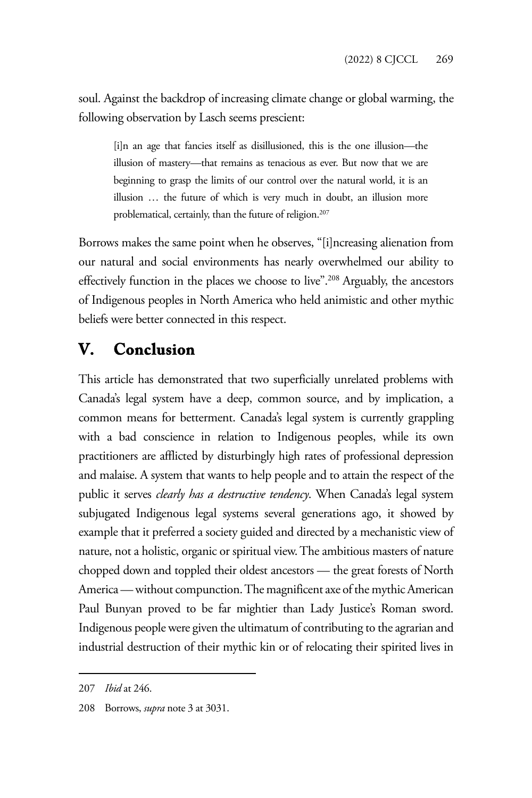soul. Against the backdrop of increasing climate change or global warming, the following observation by Lasch seems prescient:

[i]n an age that fancies itself as disillusioned, this is the one illusion—the illusion of mastery—that remains as tenacious as ever. But now that we are beginning to grasp the limits of our control over the natural world, it is an illusion … the future of which is very much in doubt, an illusion more problematical, certainly, than the future of religion.<sup>207</sup>

Borrows makes the same point when he observes, "[i]ncreasing alienation from our natural and social environments has nearly overwhelmed our ability to effectively function in the places we choose to live".<sup>208</sup> Arguably, the ancestors of Indigenous peoples in North America who held animistic and other mythic beliefs were better connected in this respect.

# **V. Conclusion**

This article has demonstrated that two superficially unrelated problems with Canada's legal system have a deep, common source, and by implication, a common means for betterment. Canada's legal system is currently grappling with a bad conscience in relation to Indigenous peoples, while its own practitioners are afflicted by disturbingly high rates of professional depression and malaise. A system that wants to help people and to attain the respect of the public it serves *clearly has a destructive tendency*. When Canada's legal system subjugated Indigenous legal systems several generations ago, it showed by example that it preferred a society guided and directed by a mechanistic view of nature, not a holistic, organic or spiritual view. The ambitious masters of nature chopped down and toppled their oldest ancestors — the great forests of North America — without compunction. The magnificent axe of the mythic American Paul Bunyan proved to be far mightier than Lady Justice's Roman sword. Indigenous people were given the ultimatum of contributing to the agrarian and industrial destruction of their mythic kin or of relocating their spirited lives in

<sup>207</sup> *Ibid* at 246.

<sup>208</sup> Borrows, *supra* note 3 at 3031.